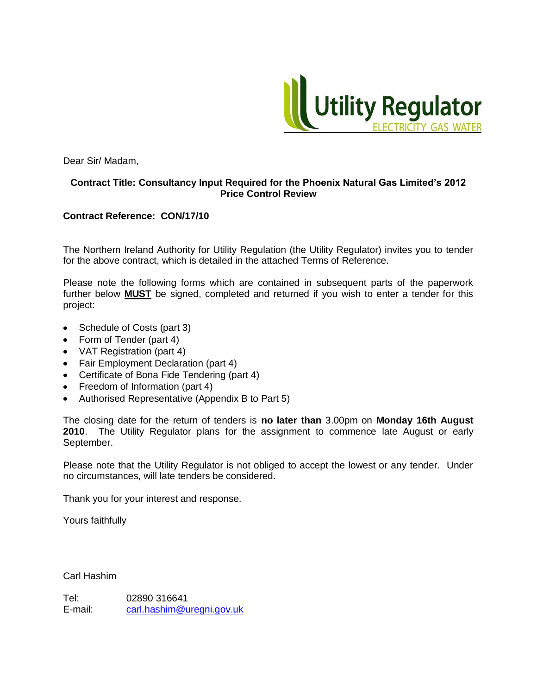

Dear Sir/ Madam,

#### **Contract Title: Consultancy Input Required for the Phoenix Natural Gas Limited's 2012 Price Control Review**

#### **Contract Reference: CON/17/10**

The Northern Ireland Authority for Utility Regulation (the Utility Regulator) invites you to tender for the above contract, which is detailed in the attached Terms of Reference.

Please note the following forms which are contained in subsequent parts of the paperwork further below **MUST** be signed, completed and returned if you wish to enter a tender for this project:

- Schedule of Costs (part 3)
- Form of Tender (part 4)
- VAT Registration (part 4)
- Fair Employment Declaration (part 4)
- Certificate of Bona Fide Tendering (part 4)
- Freedom of Information (part 4)
- Authorised Representative (Appendix B to Part 5)

The closing date for the return of tenders is **no later than** 3.00pm on **Monday 16th August 2010**. The Utility Regulator plans for the assignment to commence late August or early September.

Please note that the Utility Regulator is not obliged to accept the lowest or any tender. Under no circumstances, will late tenders be considered.

Thank you for your interest and response.

Yours faithfully

Carl Hashim

Tel: 02890 316641 E-mail: [carl.hashim@uregni.gov.uk](mailto:carl.hashim@uregni.gov.uk)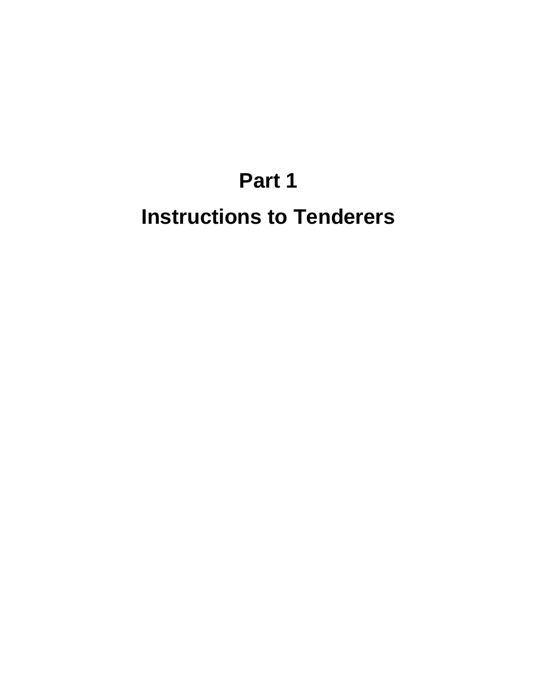# **Part 1 Instructions to Tenderers**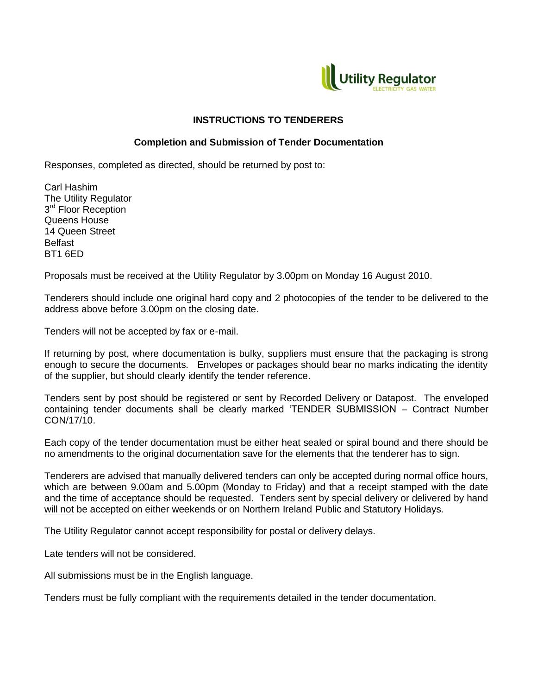

#### **INSTRUCTIONS TO TENDERERS**

#### **Completion and Submission of Tender Documentation**

Responses, completed as directed, should be returned by post to:

Carl Hashim The Utility Regulator 3<sup>rd</sup> Floor Reception Queens House 14 Queen Street Belfast BT1 6ED

Proposals must be received at the Utility Regulator by 3.00pm on Monday 16 August 2010.

Tenderers should include one original hard copy and 2 photocopies of the tender to be delivered to the address above before 3.00pm on the closing date.

Tenders will not be accepted by fax or e-mail.

If returning by post, where documentation is bulky, suppliers must ensure that the packaging is strong enough to secure the documents. Envelopes or packages should bear no marks indicating the identity of the supplier, but should clearly identify the tender reference.

Tenders sent by post should be registered or sent by Recorded Delivery or Datapost. The enveloped containing tender documents shall be clearly marked "TENDER SUBMISSION – Contract Number CON/17/10.

Each copy of the tender documentation must be either heat sealed or spiral bound and there should be no amendments to the original documentation save for the elements that the tenderer has to sign.

Tenderers are advised that manually delivered tenders can only be accepted during normal office hours, which are between 9.00am and 5.00pm (Monday to Friday) and that a receipt stamped with the date and the time of acceptance should be requested. Tenders sent by special delivery or delivered by hand will not be accepted on either weekends or on Northern Ireland Public and Statutory Holidays.

The Utility Regulator cannot accept responsibility for postal or delivery delays.

Late tenders will not be considered.

All submissions must be in the English language.

Tenders must be fully compliant with the requirements detailed in the tender documentation.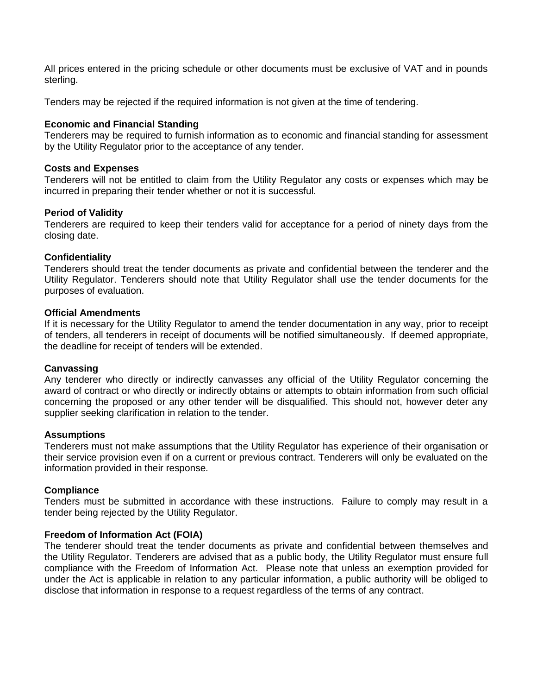All prices entered in the pricing schedule or other documents must be exclusive of VAT and in pounds sterling.

Tenders may be rejected if the required information is not given at the time of tendering.

#### **Economic and Financial Standing**

Tenderers may be required to furnish information as to economic and financial standing for assessment by the Utility Regulator prior to the acceptance of any tender.

#### **Costs and Expenses**

Tenderers will not be entitled to claim from the Utility Regulator any costs or expenses which may be incurred in preparing their tender whether or not it is successful.

#### **Period of Validity**

Tenderers are required to keep their tenders valid for acceptance for a period of ninety days from the closing date.

#### **Confidentiality**

Tenderers should treat the tender documents as private and confidential between the tenderer and the Utility Regulator. Tenderers should note that Utility Regulator shall use the tender documents for the purposes of evaluation.

#### **Official Amendments**

If it is necessary for the Utility Regulator to amend the tender documentation in any way, prior to receipt of tenders, all tenderers in receipt of documents will be notified simultaneously. If deemed appropriate, the deadline for receipt of tenders will be extended.

#### **Canvassing**

Any tenderer who directly or indirectly canvasses any official of the Utility Regulator concerning the award of contract or who directly or indirectly obtains or attempts to obtain information from such official concerning the proposed or any other tender will be disqualified. This should not, however deter any supplier seeking clarification in relation to the tender.

#### **Assumptions**

Tenderers must not make assumptions that the Utility Regulator has experience of their organisation or their service provision even if on a current or previous contract. Tenderers will only be evaluated on the information provided in their response.

#### **Compliance**

Tenders must be submitted in accordance with these instructions. Failure to comply may result in a tender being rejected by the Utility Regulator.

#### **Freedom of Information Act (FOIA)**

The tenderer should treat the tender documents as private and confidential between themselves and the Utility Regulator. Tenderers are advised that as a public body, the Utility Regulator must ensure full compliance with the Freedom of Information Act. Please note that unless an exemption provided for under the Act is applicable in relation to any particular information, a public authority will be obliged to disclose that information in response to a request regardless of the terms of any contract.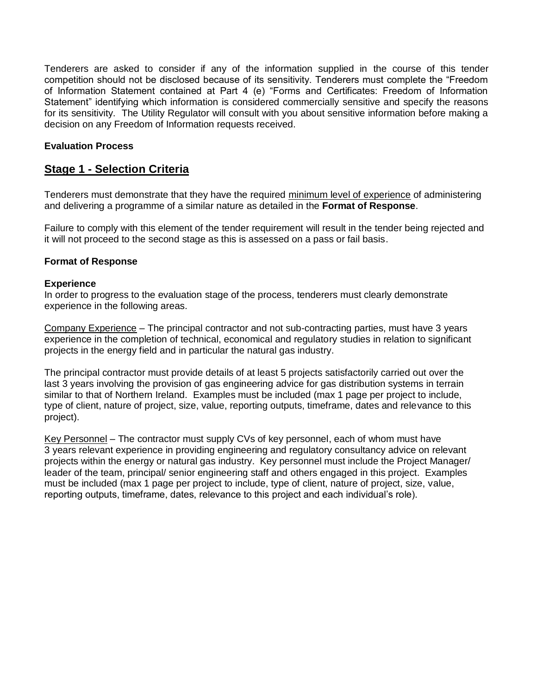Tenderers are asked to consider if any of the information supplied in the course of this tender competition should not be disclosed because of its sensitivity. Tenderers must complete the "Freedom of Information Statement contained at Part 4 (e) "Forms and Certificates: Freedom of Information Statement" identifying which information is considered commercially sensitive and specify the reasons for its sensitivity. The Utility Regulator will consult with you about sensitive information before making a decision on any Freedom of Information requests received.

#### **Evaluation Process**

#### **Stage 1 - Selection Criteria**

Tenderers must demonstrate that they have the required minimum level of experience of administering and delivering a programme of a similar nature as detailed in the **Format of Response**.

Failure to comply with this element of the tender requirement will result in the tender being rejected and it will not proceed to the second stage as this is assessed on a pass or fail basis.

#### **Format of Response**

#### **Experience**

In order to progress to the evaluation stage of the process, tenderers must clearly demonstrate experience in the following areas.

Company Experience – The principal contractor and not sub-contracting parties, must have 3 years experience in the completion of technical, economical and regulatory studies in relation to significant projects in the energy field and in particular the natural gas industry.

The principal contractor must provide details of at least 5 projects satisfactorily carried out over the last 3 years involving the provision of gas engineering advice for gas distribution systems in terrain similar to that of Northern Ireland. Examples must be included (max 1 page per project to include, type of client, nature of project, size, value, reporting outputs, timeframe, dates and relevance to this project).

Key Personnel – The contractor must supply CVs of key personnel, each of whom must have 3 years relevant experience in providing engineering and regulatory consultancy advice on relevant projects within the energy or natural gas industry. Key personnel must include the Project Manager/ leader of the team, principal/ senior engineering staff and others engaged in this project. Examples must be included (max 1 page per project to include, type of client, nature of project, size, value, reporting outputs, timeframe, dates, relevance to this project and each individual"s role).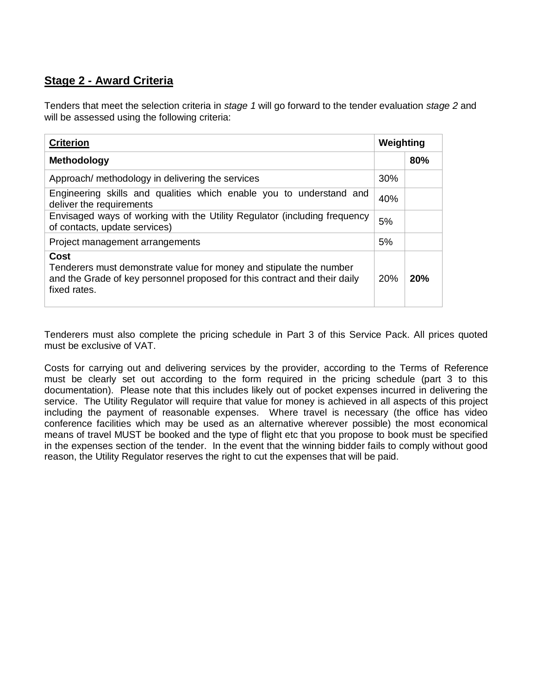#### **Stage 2 - Award Criteria**

Tenders that meet the selection criteria in *stage 1* will go forward to the tender evaluation *stage 2* and will be assessed using the following criteria:

| <b>Criterion</b>                                                                                                                                                         | Weighting  |     |
|--------------------------------------------------------------------------------------------------------------------------------------------------------------------------|------------|-----|
| Methodology                                                                                                                                                              |            | 80% |
| Approach/ methodology in delivering the services                                                                                                                         | <b>30%</b> |     |
| Engineering skills and qualities which enable you to understand and<br>deliver the requirements                                                                          | 40%        |     |
| Envisaged ways of working with the Utility Regulator (including frequency<br>of contacts, update services)                                                               | 5%         |     |
| Project management arrangements                                                                                                                                          | 5%         |     |
| Cost<br>Tenderers must demonstrate value for money and stipulate the number<br>and the Grade of key personnel proposed for this contract and their daily<br>fixed rates. | 20%        | 20% |

Tenderers must also complete the pricing schedule in Part 3 of this Service Pack. All prices quoted must be exclusive of VAT.

Costs for carrying out and delivering services by the provider, according to the Terms of Reference must be clearly set out according to the form required in the pricing schedule (part 3 to this documentation). Please note that this includes likely out of pocket expenses incurred in delivering the service. The Utility Regulator will require that value for money is achieved in all aspects of this project including the payment of reasonable expenses. Where travel is necessary (the office has video conference facilities which may be used as an alternative wherever possible) the most economical means of travel MUST be booked and the type of flight etc that you propose to book must be specified in the expenses section of the tender. In the event that the winning bidder fails to comply without good reason, the Utility Regulator reserves the right to cut the expenses that will be paid.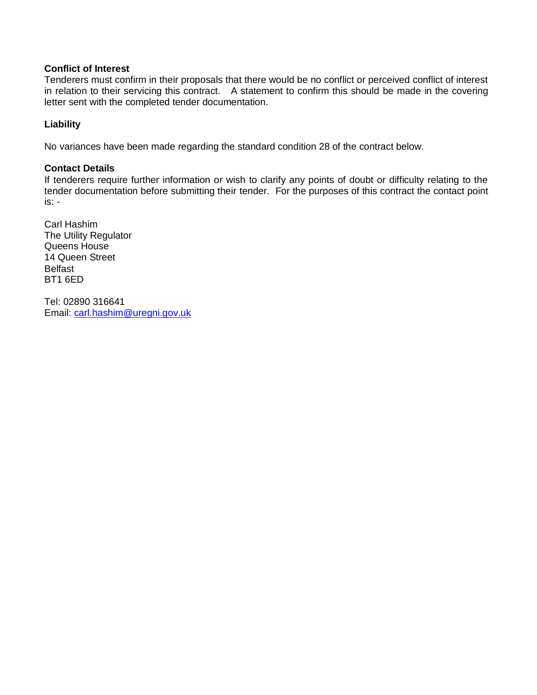#### **Conflict of Interest**

Tenderers must confirm in their proposals that there would be no conflict or perceived conflict of interest in relation to their servicing this contract. A statement to confirm this should be made in the covering letter sent with the completed tender documentation.

#### **Liability**

No variances have been made regarding the standard condition 28 of the contract below.

#### **Contact Details**

If tenderers require further information or wish to clarify any points of doubt or difficulty relating to the tender documentation before submitting their tender. For the purposes of this contract the contact point is: -

Carl Hashim The Utility Regulator Queens House 14 Queen Street Belfast BT1 6ED

Tel: 02890 316641 Email: [carl.hashim@uregni.gov.uk](mailto:carl.hashim@uregni.gov.uk)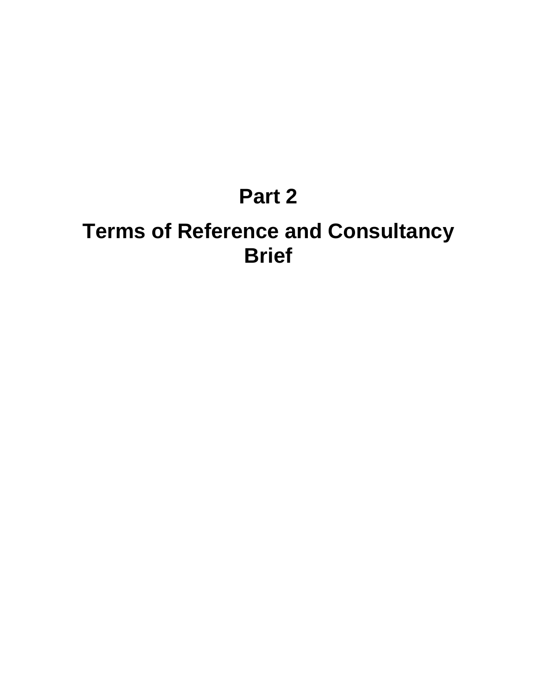## **Part 2**

## **Terms of Reference and Consultancy Brief**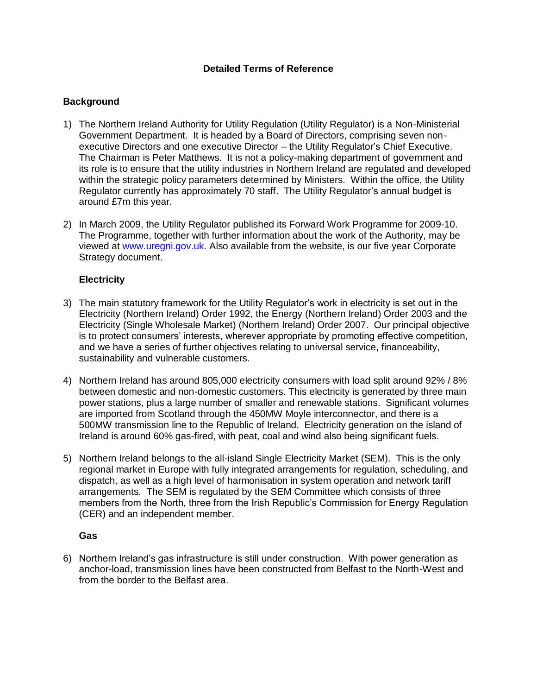#### **Detailed Terms of Reference**

#### **Background**

- 1) The Northern Ireland Authority for Utility Regulation (Utility Regulator) is a Non-Ministerial Government Department. It is headed by a Board of Directors, comprising seven nonexecutive Directors and one executive Director – the Utility Regulator"s Chief Executive. The Chairman is Peter Matthews. It is not a policy-making department of government and its role is to ensure that the utility industries in Northern Ireland are regulated and developed within the strategic policy parameters determined by Ministers. Within the office, the Utility Regulator currently has approximately 70 staff. The Utility Regulator"s annual budget is around £7m this year.
- 2) In March 2009, the Utility Regulator published its Forward Work Programme for 2009-10. The Programme, together with further information about the work of the Authority, may be viewed at www.uregni.gov.uk. Also available from the website, is our five year Corporate Strategy document.

#### **Electricity**

- 3) The main statutory framework for the Utility Regulator"s work in electricity is set out in the Electricity (Northern Ireland) Order 1992, the Energy (Northern Ireland) Order 2003 and the Electricity (Single Wholesale Market) (Northern Ireland) Order 2007. Our principal objective is to protect consumers" interests, wherever appropriate by promoting effective competition, and we have a series of further objectives relating to universal service, financeability, sustainability and vulnerable customers.
- 4) Northern Ireland has around 805,000 electricity consumers with load split around 92% / 8% between domestic and non-domestic customers. This electricity is generated by three main power stations, plus a large number of smaller and renewable stations. Significant volumes are imported from Scotland through the 450MW Moyle interconnector, and there is a 500MW transmission line to the Republic of Ireland. Electricity generation on the island of Ireland is around 60% gas-fired, with peat, coal and wind also being significant fuels.
- 5) Northern Ireland belongs to the all-island Single Electricity Market (SEM). This is the only regional market in Europe with fully integrated arrangements for regulation, scheduling, and dispatch, as well as a high level of harmonisation in system operation and network tariff arrangements. The SEM is regulated by the SEM Committee which consists of three members from the North, three from the Irish Republic"s Commission for Energy Regulation (CER) and an independent member.

#### **Gas**

6) Northern Ireland"s gas infrastructure is still under construction. With power generation as anchor-load, transmission lines have been constructed from Belfast to the North-West and from the border to the Belfast area.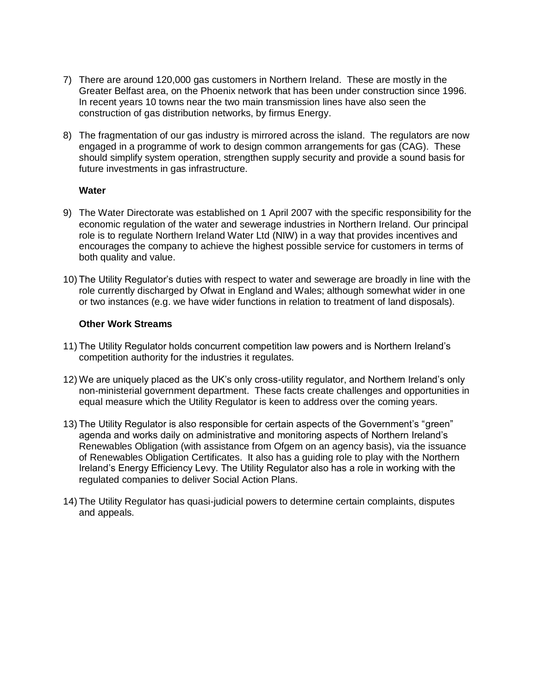- 7) There are around 120,000 gas customers in Northern Ireland. These are mostly in the Greater Belfast area, on the Phoenix network that has been under construction since 1996. In recent years 10 towns near the two main transmission lines have also seen the construction of gas distribution networks, by firmus Energy.
- 8) The fragmentation of our gas industry is mirrored across the island. The regulators are now engaged in a programme of work to design common arrangements for gas (CAG). These should simplify system operation, strengthen supply security and provide a sound basis for future investments in gas infrastructure.

#### **Water**

- 9) The Water Directorate was established on 1 April 2007 with the specific responsibility for the economic regulation of the water and sewerage industries in Northern Ireland. Our principal role is to regulate Northern Ireland Water Ltd (NIW) in a way that provides incentives and encourages the company to achieve the highest possible service for customers in terms of both quality and value.
- 10) The Utility Regulator"s duties with respect to water and sewerage are broadly in line with the role currently discharged by Ofwat in England and Wales; although somewhat wider in one or two instances (e.g. we have wider functions in relation to treatment of land disposals).

#### **Other Work Streams**

- 11) The Utility Regulator holds concurrent competition law powers and is Northern Ireland"s competition authority for the industries it regulates.
- 12) We are uniquely placed as the UK"s only cross-utility regulator, and Northern Ireland"s only non-ministerial government department. These facts create challenges and opportunities in equal measure which the Utility Regulator is keen to address over the coming years.
- 13) The Utility Regulator is also responsible for certain aspects of the Government's "green" agenda and works daily on administrative and monitoring aspects of Northern Ireland"s Renewables Obligation (with assistance from Ofgem on an agency basis), via the issuance of Renewables Obligation Certificates. It also has a guiding role to play with the Northern Ireland"s Energy Efficiency Levy. The Utility Regulator also has a role in working with the regulated companies to deliver Social Action Plans.
- 14) The Utility Regulator has quasi-judicial powers to determine certain complaints, disputes and appeals.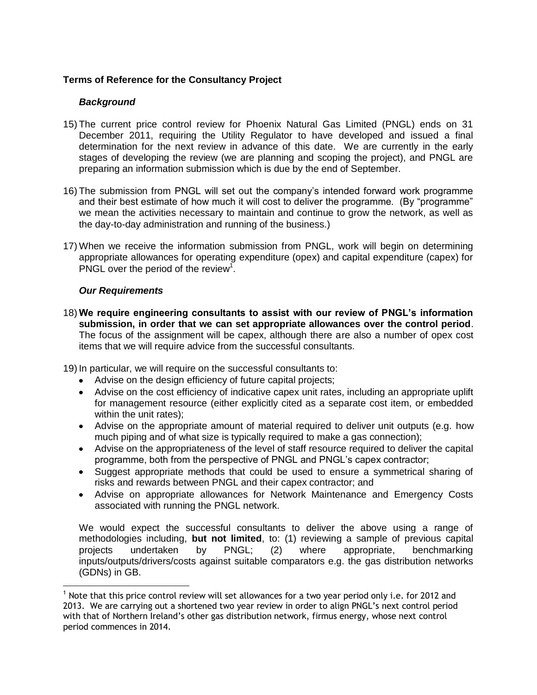#### **Terms of Reference for the Consultancy Project**

#### *Background*

- 15) The current price control review for Phoenix Natural Gas Limited (PNGL) ends on 31 December 2011, requiring the Utility Regulator to have developed and issued a final determination for the next review in advance of this date. We are currently in the early stages of developing the review (we are planning and scoping the project), and PNGL are preparing an information submission which is due by the end of September.
- 16) The submission from PNGL will set out the company"s intended forward work programme and their best estimate of how much it will cost to deliver the programme. (By "programme" we mean the activities necessary to maintain and continue to grow the network, as well as the day-to-day administration and running of the business.)
- 17) When we receive the information submission from PNGL, work will begin on determining appropriate allowances for operating expenditure (opex) and capital expenditure (capex) for PNGL over the period of the review<sup>1</sup>.

#### *Our Requirements*

 $\overline{a}$ 

<span id="page-10-0"></span>18) **We require engineering consultants to assist with our review of PNGL's information submission, in order that we can set appropriate allowances over the control period**. The focus of the assignment will be capex, although there are also a number of opex cost items that we will require advice from the successful consultants.

<span id="page-10-1"></span>19) In particular, we will require on the successful consultants to:

- Advise on the design efficiency of future capital projects;
- Advise on the cost efficiency of indicative capex unit rates, including an appropriate uplift for management resource (either explicitly cited as a separate cost item, or embedded within the unit rates);
- Advise on the appropriate amount of material required to deliver unit outputs (e.g. how much piping and of what size is typically required to make a gas connection);
- Advise on the appropriateness of the level of staff resource required to deliver the capital programme, both from the perspective of PNGL and PNGL"s capex contractor;
- Suggest appropriate methods that could be used to ensure a symmetrical sharing of risks and rewards between PNGL and their capex contractor; and
- Advise on appropriate allowances for Network Maintenance and Emergency Costs associated with running the PNGL network.

We would expect the successful consultants to deliver the above using a range of methodologies including, **but not limited**, to: (1) reviewing a sample of previous capital projects undertaken by PNGL; (2) where appropriate, benchmarking inputs/outputs/drivers/costs against suitable comparators e.g. the gas distribution networks (GDNs) in GB.

 $1$  Note that this price control review will set allowances for a two year period only i.e. for 2012 and 2013. We are carrying out a shortened two year review in order to align PNGL's next control period with that of Northern Ireland's other gas distribution network, firmus energy, whose next control period commences in 2014.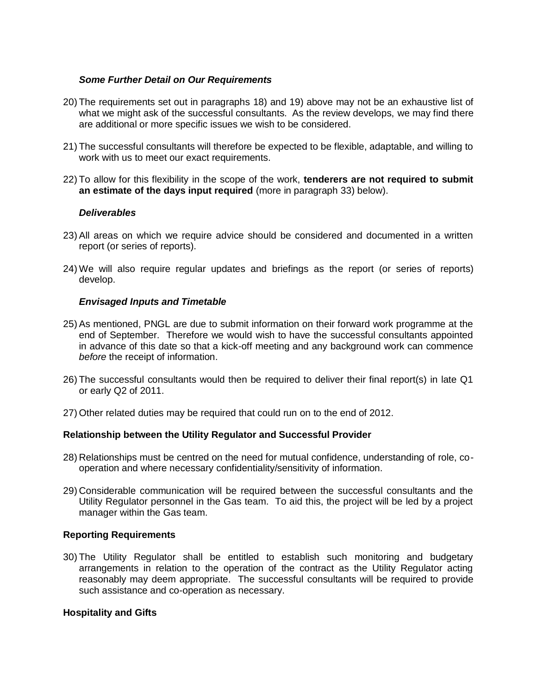#### *Some Further Detail on Our Requirements*

- 20) The requirements set out in paragraphs [18\)](#page-10-0) and [19\) above](#page-10-1) may not be an exhaustive list of what we might ask of the successful consultants. As the review develops, we may find there are additional or more specific issues we wish to be considered.
- 21) The successful consultants will therefore be expected to be flexible, adaptable, and willing to work with us to meet our exact requirements.
- 22) To allow for this flexibility in the scope of the work, **tenderers are not required to submit an estimate of the days input required** (more in paragraph [33\) below\)](#page-12-0).

#### *Deliverables*

- 23) All areas on which we require advice should be considered and documented in a written report (or series of reports).
- 24) We will also require regular updates and briefings as the report (or series of reports) develop.

#### *Envisaged Inputs and Timetable*

- 25) As mentioned, PNGL are due to submit information on their forward work programme at the end of September. Therefore we would wish to have the successful consultants appointed in advance of this date so that a kick-off meeting and any background work can commence *before* the receipt of information.
- 26) The successful consultants would then be required to deliver their final report(s) in late Q1 or early Q2 of 2011.
- 27) Other related duties may be required that could run on to the end of 2012.

#### **Relationship between the Utility Regulator and Successful Provider**

- 28) Relationships must be centred on the need for mutual confidence, understanding of role, cooperation and where necessary confidentiality/sensitivity of information.
- 29) Considerable communication will be required between the successful consultants and the Utility Regulator personnel in the Gas team. To aid this, the project will be led by a project manager within the Gas team.

#### **Reporting Requirements**

30) The Utility Regulator shall be entitled to establish such monitoring and budgetary arrangements in relation to the operation of the contract as the Utility Regulator acting reasonably may deem appropriate. The successful consultants will be required to provide such assistance and co-operation as necessary.

#### **Hospitality and Gifts**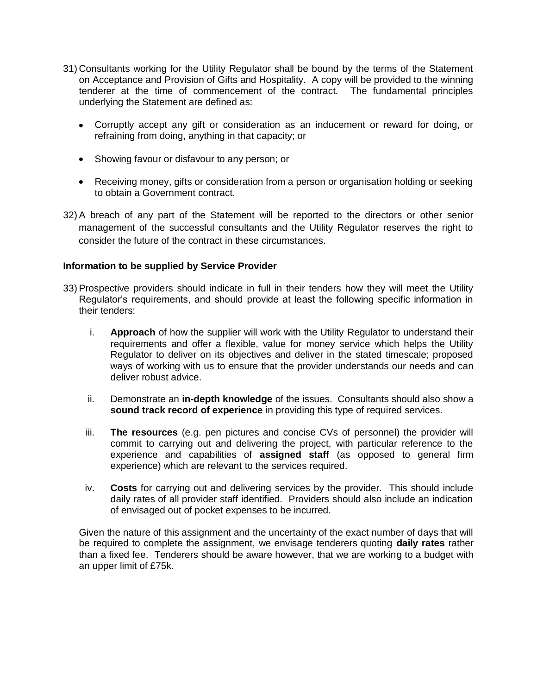- 31) Consultants working for the Utility Regulator shall be bound by the terms of the Statement on Acceptance and Provision of Gifts and Hospitality. A copy will be provided to the winning tenderer at the time of commencement of the contract. The fundamental principles underlying the Statement are defined as:
	- Corruptly accept any gift or consideration as an inducement or reward for doing, or refraining from doing, anything in that capacity; or
	- Showing favour or disfavour to any person; or
	- Receiving money, gifts or consideration from a person or organisation holding or seeking to obtain a Government contract.
- 32) A breach of any part of the Statement will be reported to the directors or other senior management of the successful consultants and the Utility Regulator reserves the right to consider the future of the contract in these circumstances.

#### **Information to be supplied by Service Provider**

- <span id="page-12-0"></span>33) Prospective providers should indicate in full in their tenders how they will meet the Utility Regulator"s requirements, and should provide at least the following specific information in their tenders:
	- i. **Approach** of how the supplier will work with the Utility Regulator to understand their requirements and offer a flexible, value for money service which helps the Utility Regulator to deliver on its objectives and deliver in the stated timescale; proposed ways of working with us to ensure that the provider understands our needs and can deliver robust advice.
	- ii. Demonstrate an **in-depth knowledge** of the issues. Consultants should also show a **sound track record of experience** in providing this type of required services.
	- iii. **The resources** (e.g. pen pictures and concise CVs of personnel) the provider will commit to carrying out and delivering the project, with particular reference to the experience and capabilities of **assigned staff** (as opposed to general firm experience) which are relevant to the services required.
	- iv. **Costs** for carrying out and delivering services by the provider. This should include daily rates of all provider staff identified. Providers should also include an indication of envisaged out of pocket expenses to be incurred.

Given the nature of this assignment and the uncertainty of the exact number of days that will be required to complete the assignment, we envisage tenderers quoting **daily rates** rather than a fixed fee. Tenderers should be aware however, that we are working to a budget with an upper limit of £75k.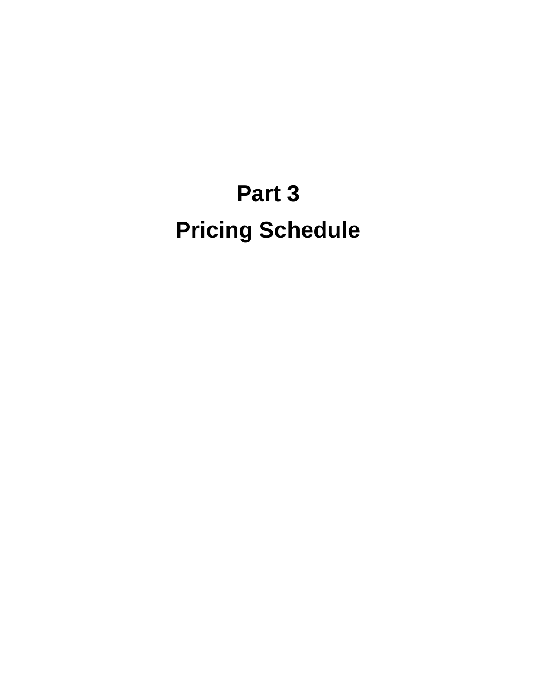# **Part 3 Pricing Schedule**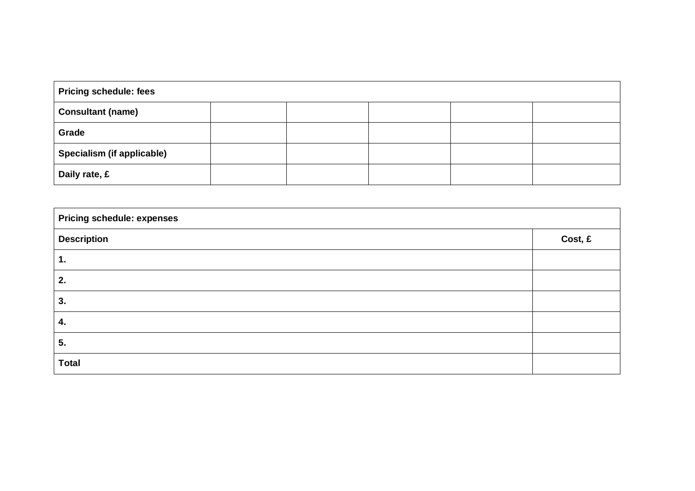| <b>Pricing schedule: fees</b> |  |  |  |  |
|-------------------------------|--|--|--|--|
| <b>Consultant (name)</b>      |  |  |  |  |
| Grade                         |  |  |  |  |
| Specialism (if applicable)    |  |  |  |  |
| Daily rate, £                 |  |  |  |  |

| <b>Pricing schedule: expenses</b> |         |  |
|-----------------------------------|---------|--|
| <b>Description</b>                | Cost, £ |  |
| 1.                                |         |  |
| 2.                                |         |  |
| 3.                                |         |  |
| 4.                                |         |  |
| 5.                                |         |  |
| <b>Total</b>                      |         |  |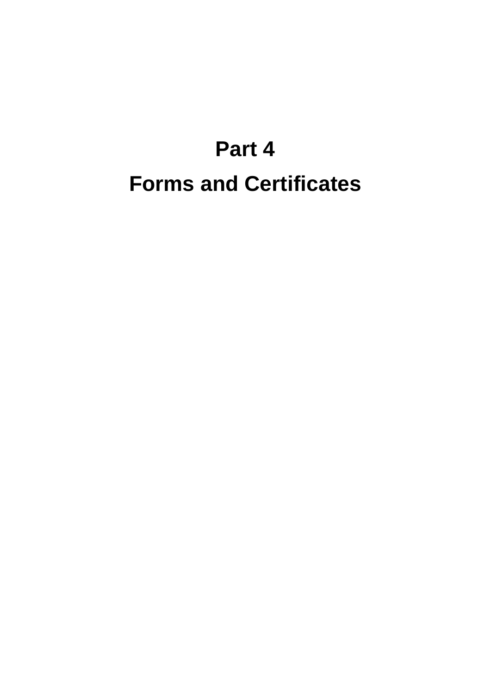# **Part 4 Forms and Certificates**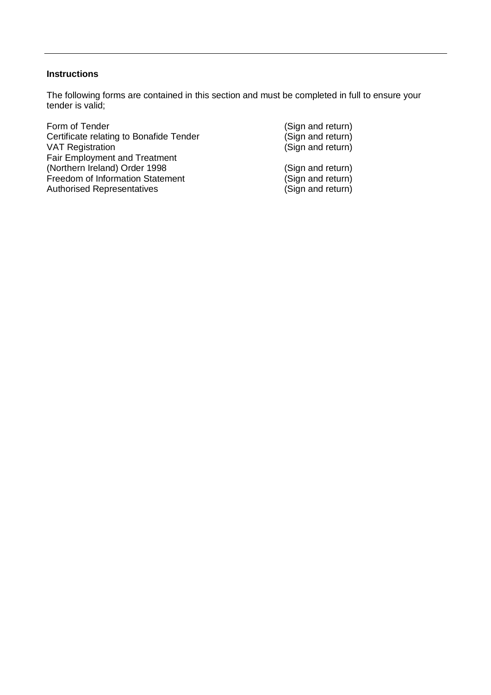#### **Instructions**

The following forms are contained in this section and must be completed in full to ensure your tender is valid;

Form of Tender (Sign and return)<br>Certificate relating to Bonafide Tender (Sign and return) Certificate relating to Bonafide Tender VAT Registration **VAT Registration VAT** Registration Fair Employment and Treatment (Northern Ireland) Order 1998 (Sign and return)<br>
Freedom of Information Statement (Sign and return) Freedom of Information Statement (Sign and return)<br>
Authorised Representatives (Sign and return) Authorised Representatives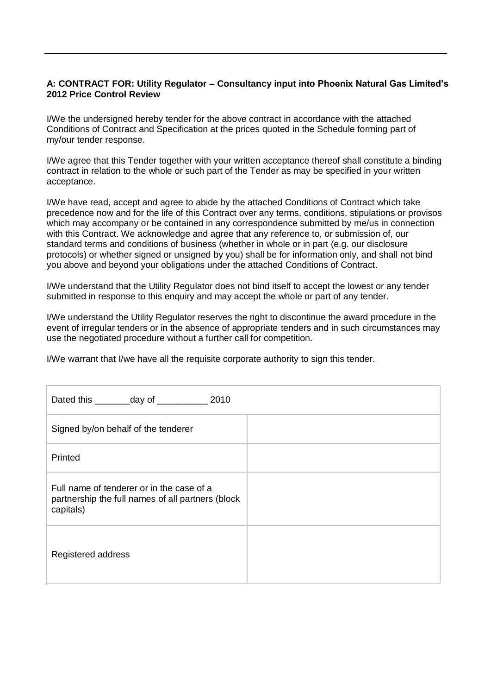#### **A: CONTRACT FOR: Utility Regulator – Consultancy input into Phoenix Natural Gas Limited's 2012 Price Control Review**

I/We the undersigned hereby tender for the above contract in accordance with the attached Conditions of Contract and Specification at the prices quoted in the Schedule forming part of my/our tender response.

I/We agree that this Tender together with your written acceptance thereof shall constitute a binding contract in relation to the whole or such part of the Tender as may be specified in your written acceptance.

I/We have read, accept and agree to abide by the attached Conditions of Contract which take precedence now and for the life of this Contract over any terms, conditions, stipulations or provisos which may accompany or be contained in any correspondence submitted by me/us in connection with this Contract. We acknowledge and agree that any reference to, or submission of, our standard terms and conditions of business (whether in whole or in part (e.g. our disclosure protocols) or whether signed or unsigned by you) shall be for information only, and shall not bind you above and beyond your obligations under the attached Conditions of Contract.

I/We understand that the Utility Regulator does not bind itself to accept the lowest or any tender submitted in response to this enquiry and may accept the whole or part of any tender.

I/We understand the Utility Regulator reserves the right to discontinue the award procedure in the event of irregular tenders or in the absence of appropriate tenders and in such circumstances may use the negotiated procedure without a further call for competition.

I/We warrant that I/we have all the requisite corporate authority to sign this tender.

| Dated this __________ day of _________________ 2010                                                         |  |
|-------------------------------------------------------------------------------------------------------------|--|
| Signed by/on behalf of the tenderer                                                                         |  |
| Printed                                                                                                     |  |
| Full name of tenderer or in the case of a<br>partnership the full names of all partners (block<br>capitals) |  |
| Registered address                                                                                          |  |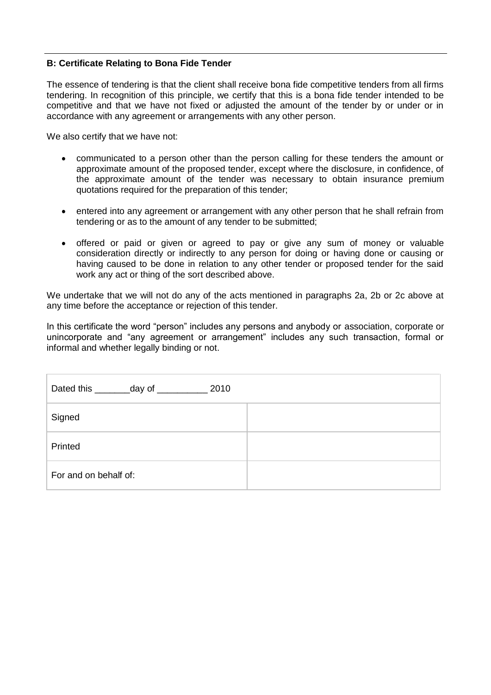#### **B: Certificate Relating to Bona Fide Tender**

The essence of tendering is that the client shall receive bona fide competitive tenders from all firms tendering. In recognition of this principle, we certify that this is a bona fide tender intended to be competitive and that we have not fixed or adjusted the amount of the tender by or under or in accordance with any agreement or arrangements with any other person.

We also certify that we have not:

- $\bullet$ communicated to a person other than the person calling for these tenders the amount or approximate amount of the proposed tender, except where the disclosure, in confidence, of the approximate amount of the tender was necessary to obtain insurance premium quotations required for the preparation of this tender;
- entered into any agreement or arrangement with any other person that he shall refrain from tendering or as to the amount of any tender to be submitted;
- offered or paid or given or agreed to pay or give any sum of money or valuable  $\bullet$ consideration directly or indirectly to any person for doing or having done or causing or having caused to be done in relation to any other tender or proposed tender for the said work any act or thing of the sort described above.

We undertake that we will not do any of the acts mentioned in paragraphs 2a, 2b or 2c above at any time before the acceptance or rejection of this tender.

In this certificate the word "person" includes any persons and anybody or association, corporate or unincorporate and "any agreement or arrangement" includes any such transaction, formal or informal and whether legally binding or not.

| Dated this _________day of ___________<br>2010 |  |
|------------------------------------------------|--|
| Signed                                         |  |
| Printed                                        |  |
| For and on behalf of:                          |  |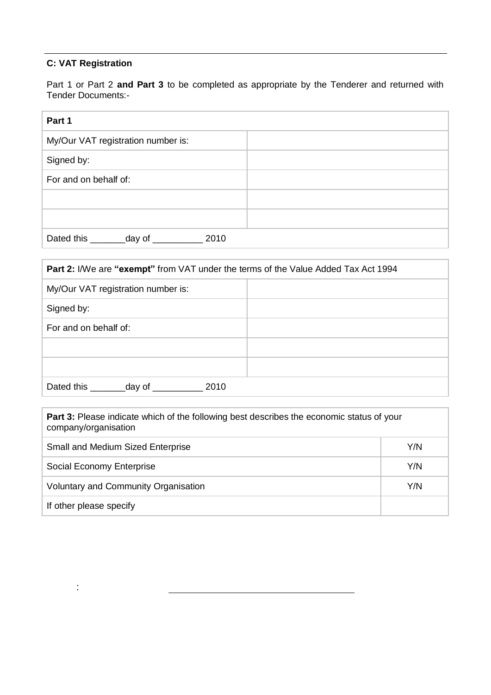#### **C: VAT Registration**

:

Part 1 or Part 2 **and Part 3** to be completed as appropriate by the Tenderer and returned with Tender Documents:-

| Part 1                                         |  |
|------------------------------------------------|--|
| My/Our VAT registration number is:             |  |
| Signed by:                                     |  |
| For and on behalf of:                          |  |
|                                                |  |
|                                                |  |
| Dated this _________ day of __________<br>2010 |  |

| <b>Part 2:</b> I/We are "exempt" from VAT under the terms of the Value Added Tax Act 1994 |  |  |
|-------------------------------------------------------------------------------------------|--|--|
| My/Our VAT registration number is:                                                        |  |  |
| Signed by:                                                                                |  |  |
| For and on behalf of:                                                                     |  |  |
|                                                                                           |  |  |
|                                                                                           |  |  |
| Dated this ____<br>_day of _<br>2010                                                      |  |  |

| <b>Part 3:</b> Please indicate which of the following best describes the economic status of your<br>company/organisation |     |
|--------------------------------------------------------------------------------------------------------------------------|-----|
| <b>Small and Medium Sized Enterprise</b>                                                                                 | Y/N |
| Social Economy Enterprise                                                                                                | Y/N |
| Y/N<br>Voluntary and Community Organisation                                                                              |     |
| If other please specify                                                                                                  |     |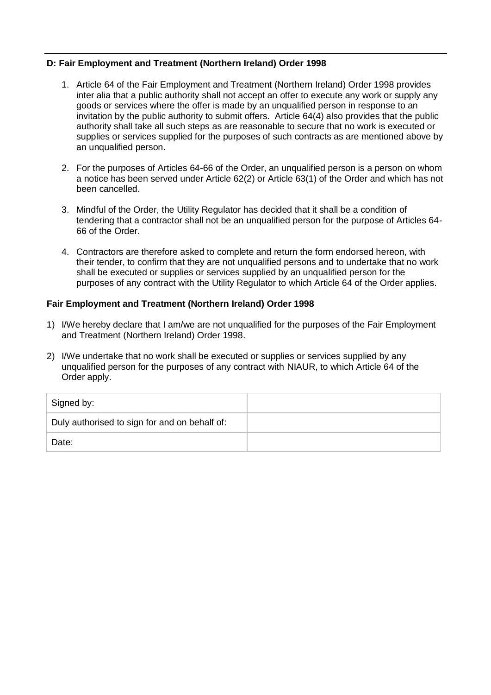#### **D: Fair Employment and Treatment (Northern Ireland) Order 1998**

- 1. Article 64 of the Fair Employment and Treatment (Northern Ireland) Order 1998 provides inter alia that a public authority shall not accept an offer to execute any work or supply any goods or services where the offer is made by an unqualified person in response to an invitation by the public authority to submit offers. Article 64(4) also provides that the public authority shall take all such steps as are reasonable to secure that no work is executed or supplies or services supplied for the purposes of such contracts as are mentioned above by an unqualified person.
- 2. For the purposes of Articles 64-66 of the Order, an unqualified person is a person on whom a notice has been served under Article 62(2) or Article 63(1) of the Order and which has not been cancelled.
- 3. Mindful of the Order, the Utility Regulator has decided that it shall be a condition of tendering that a contractor shall not be an unqualified person for the purpose of Articles 64- 66 of the Order.
- 4. Contractors are therefore asked to complete and return the form endorsed hereon, with their tender, to confirm that they are not unqualified persons and to undertake that no work shall be executed or supplies or services supplied by an unqualified person for the purposes of any contract with the Utility Regulator to which Article 64 of the Order applies.

#### **Fair Employment and Treatment (Northern Ireland) Order 1998**

- 1) I/We hereby declare that I am/we are not unqualified for the purposes of the Fair Employment and Treatment (Northern Ireland) Order 1998.
- 2) I/We undertake that no work shall be executed or supplies or services supplied by any unqualified person for the purposes of any contract with NIAUR, to which Article 64 of the Order apply.

| Signed by:                                    |  |
|-----------------------------------------------|--|
| Duly authorised to sign for and on behalf of: |  |
| Date:                                         |  |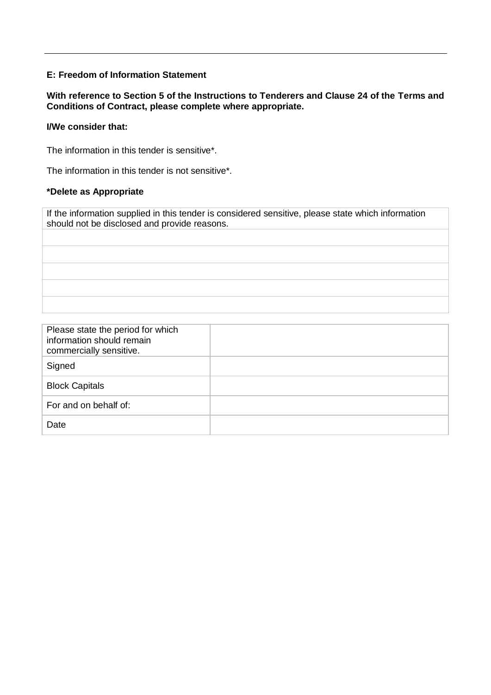#### **E: Freedom of Information Statement**

#### **With reference to Section 5 of the Instructions to Tenderers and Clause 24 of the Terms and Conditions of Contract, please complete where appropriate.**

#### **I/We consider that:**

The information in this tender is sensitive\*.

The information in this tender is not sensitive\*.

#### **\*Delete as Appropriate**

If the information supplied in this tender is considered sensitive, please state which information should not be disclosed and provide reasons.

| Please state the period for which<br>information should remain<br>commercially sensitive. |  |
|-------------------------------------------------------------------------------------------|--|
| Signed                                                                                    |  |
| <b>Block Capitals</b>                                                                     |  |
| For and on behalf of:                                                                     |  |
| Date                                                                                      |  |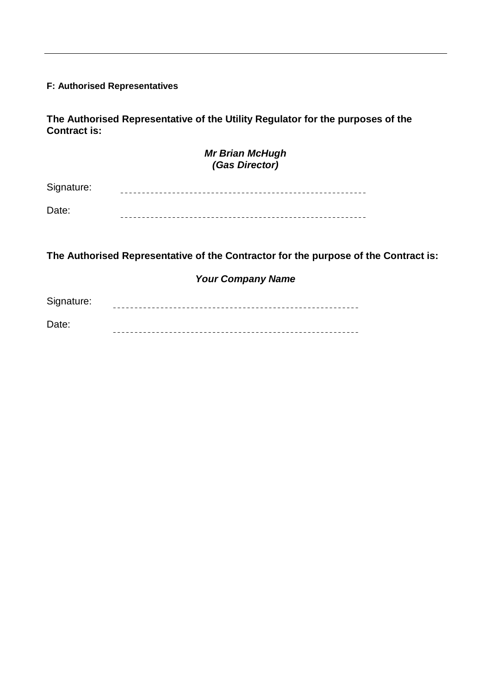#### **F: Authorised Representatives**

**The Authorised Representative of the Utility Regulator for the purposes of the Contract is:**

#### *Mr Brian McHugh (Gas Director)*

Signature: 

Date: 

**The Authorised Representative of the Contractor for the purpose of the Contract is:** 

#### *Your Company Name*

Signature: 

Date: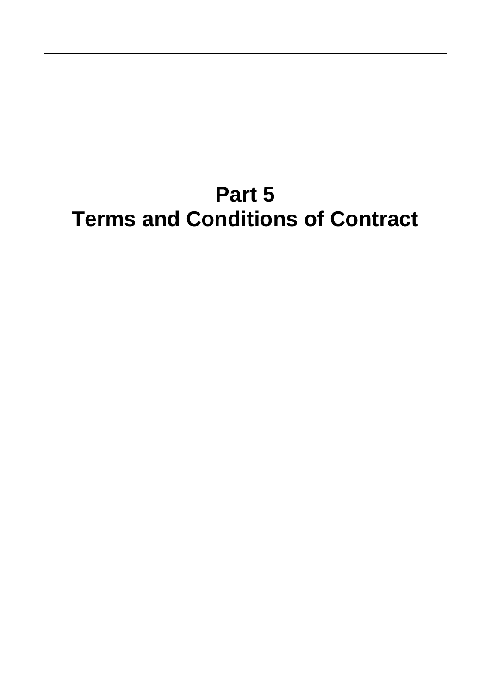## **Part 5 Terms and Conditions of Contract**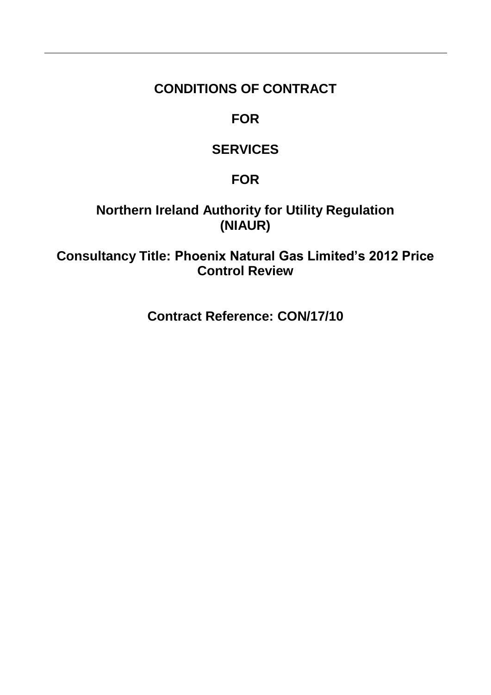### **CONDITIONS OF CONTRACT**

### **FOR**

## **SERVICES**

## **FOR**

## **Northern Ireland Authority for Utility Regulation (NIAUR)**

**Consultancy Title: Phoenix Natural Gas Limited's 2012 Price Control Review**

**Contract Reference: CON/17/10**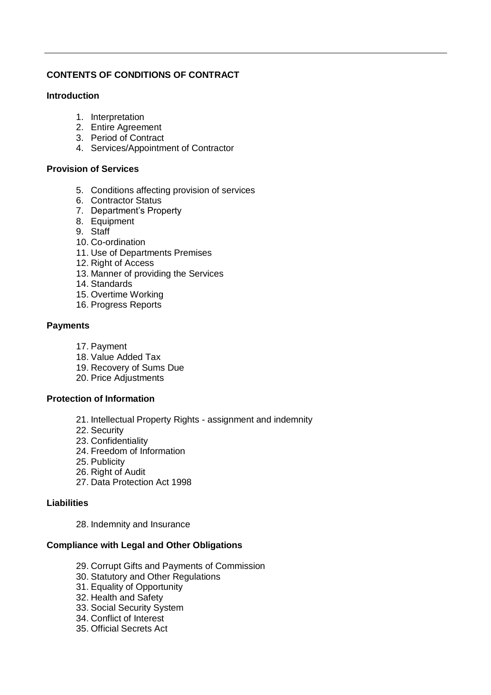#### **CONTENTS OF CONDITIONS OF CONTRACT**

#### **Introduction**

- 1. Interpretation
- 2. Entire Agreement
- 3. Period of Contract
- 4. Services/Appointment of Contractor

#### **Provision of Services**

- 5. Conditions affecting provision of services
- 6. Contractor Status
- 7. Department"s Property
- 8. Equipment
- 9. Staff
- 10. Co-ordination
- 11. Use of Departments Premises
- 12. Right of Access
- 13. Manner of providing the Services
- 14. Standards
- 15. Overtime Working
- 16. Progress Reports

#### **Payments**

- 17. Payment
- 18. Value Added Tax
- 19. Recovery of Sums Due
- 20. Price Adjustments

#### **Protection of Information**

- 21. Intellectual Property Rights assignment and indemnity
- 22. Security
- 23. Confidentiality
- 24. Freedom of Information
- 25. Publicity
- 26. Right of Audit
- 27. Data Protection Act 1998

#### **Liabilities**

28. Indemnity and Insurance

#### **Compliance with Legal and Other Obligations**

- 29. Corrupt Gifts and Payments of Commission
- 30. Statutory and Other Regulations
- 31. Equality of Opportunity
- 32. Health and Safety
- 33. Social Security System
- 34. Conflict of Interest
- 35. Official Secrets Act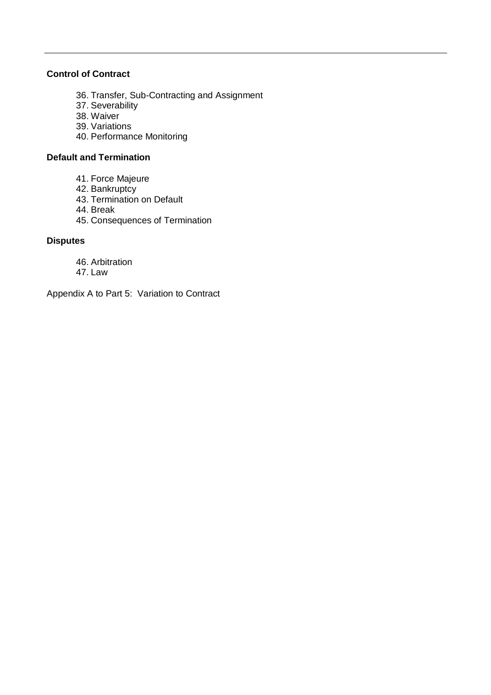#### **Control of Contract**

- 36. Transfer, Sub-Contracting and Assignment
- 37. Severability
- 38. Waiver
- 39. Variations
- 40. Performance Monitoring

#### **Default and Termination**

- 41. Force Majeure
- 42. Bankruptcy
- 43. Termination on Default
- 44. Break
- 45. Consequences of Termination

#### **Disputes**

- 46. Arbitration
- 47. Law

Appendix A to Part 5: Variation to Contract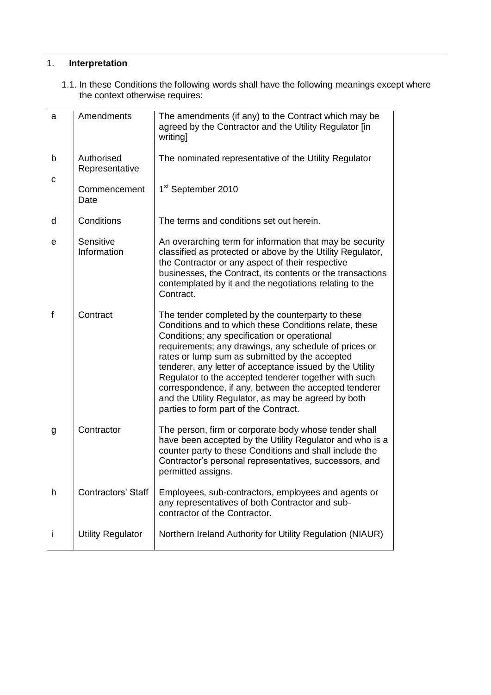#### 1. **Interpretation**

1.1. In these Conditions the following words shall have the following meanings except where the context otherwise requires:

| a  | Amendments                   | The amendments (if any) to the Contract which may be<br>agreed by the Contractor and the Utility Regulator [in<br>writing]                                                                                                                                                                                                                                                                                                                                                                                                                           |
|----|------------------------------|------------------------------------------------------------------------------------------------------------------------------------------------------------------------------------------------------------------------------------------------------------------------------------------------------------------------------------------------------------------------------------------------------------------------------------------------------------------------------------------------------------------------------------------------------|
| b  | Authorised<br>Representative | The nominated representative of the Utility Regulator                                                                                                                                                                                                                                                                                                                                                                                                                                                                                                |
| C  | Commencement<br>Date         | 1 <sup>st</sup> September 2010                                                                                                                                                                                                                                                                                                                                                                                                                                                                                                                       |
| d  | Conditions                   | The terms and conditions set out herein.                                                                                                                                                                                                                                                                                                                                                                                                                                                                                                             |
| e  | Sensitive<br>Information     | An overarching term for information that may be security<br>classified as protected or above by the Utility Regulator,<br>the Contractor or any aspect of their respective<br>businesses, the Contract, its contents or the transactions<br>contemplated by it and the negotiations relating to the<br>Contract.                                                                                                                                                                                                                                     |
| f  | Contract                     | The tender completed by the counterparty to these<br>Conditions and to which these Conditions relate, these<br>Conditions; any specification or operational<br>requirements; any drawings, any schedule of prices or<br>rates or lump sum as submitted by the accepted<br>tenderer, any letter of acceptance issued by the Utility<br>Regulator to the accepted tenderer together with such<br>correspondence, if any, between the accepted tenderer<br>and the Utility Regulator, as may be agreed by both<br>parties to form part of the Contract. |
| g  | Contractor                   | The person, firm or corporate body whose tender shall<br>have been accepted by the Utility Regulator and who is a<br>counter party to these Conditions and shall include the<br>Contractor's personal representatives, successors, and<br>permitted assigns.                                                                                                                                                                                                                                                                                         |
| h  | <b>Contractors' Staff</b>    | Employees, sub-contractors, employees and agents or<br>any representatives of both Contractor and sub-<br>contractor of the Contractor.                                                                                                                                                                                                                                                                                                                                                                                                              |
| I. | <b>Utility Regulator</b>     | Northern Ireland Authority for Utility Regulation (NIAUR)                                                                                                                                                                                                                                                                                                                                                                                                                                                                                            |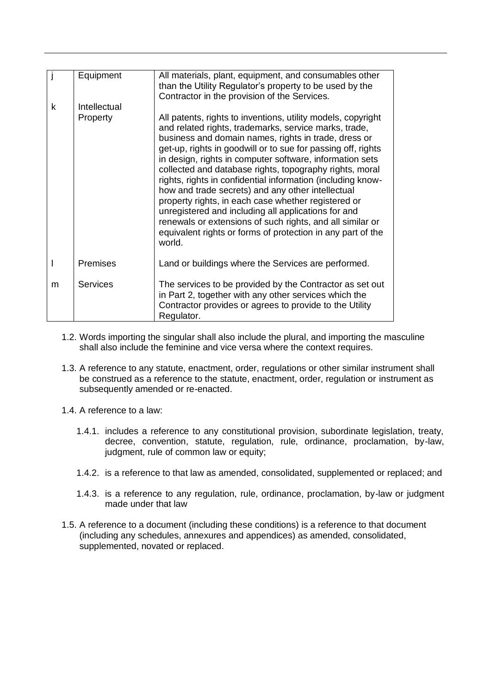|   | Equipment       | All materials, plant, equipment, and consumables other<br>than the Utility Regulator's property to be used by the<br>Contractor in the provision of the Services.                                                                                                                                                                                                                                                                                                                                                                                                                                                                                                                                                                            |
|---|-----------------|----------------------------------------------------------------------------------------------------------------------------------------------------------------------------------------------------------------------------------------------------------------------------------------------------------------------------------------------------------------------------------------------------------------------------------------------------------------------------------------------------------------------------------------------------------------------------------------------------------------------------------------------------------------------------------------------------------------------------------------------|
| k | Intellectual    |                                                                                                                                                                                                                                                                                                                                                                                                                                                                                                                                                                                                                                                                                                                                              |
|   | Property        | All patents, rights to inventions, utility models, copyright<br>and related rights, trademarks, service marks, trade,<br>business and domain names, rights in trade, dress or<br>get-up, rights in goodwill or to sue for passing off, rights<br>in design, rights in computer software, information sets<br>collected and database rights, topography rights, moral<br>rights, rights in confidential information (including know-<br>how and trade secrets) and any other intellectual<br>property rights, in each case whether registered or<br>unregistered and including all applications for and<br>renewals or extensions of such rights, and all similar or<br>equivalent rights or forms of protection in any part of the<br>world. |
|   | Premises        | Land or buildings where the Services are performed.                                                                                                                                                                                                                                                                                                                                                                                                                                                                                                                                                                                                                                                                                          |
| m | <b>Services</b> | The services to be provided by the Contractor as set out<br>in Part 2, together with any other services which the<br>Contractor provides or agrees to provide to the Utility<br>Regulator.                                                                                                                                                                                                                                                                                                                                                                                                                                                                                                                                                   |

- 1.2. Words importing the singular shall also include the plural, and importing the masculine shall also include the feminine and vice versa where the context requires.
- 1.3. A reference to any statute, enactment, order, regulations or other similar instrument shall be construed as a reference to the statute, enactment, order, regulation or instrument as subsequently amended or re-enacted.
- 1.4. A reference to a law:
	- 1.4.1. includes a reference to any constitutional provision, subordinate legislation, treaty, decree, convention, statute, regulation, rule, ordinance, proclamation, by-law, judgment, rule of common law or equity;
	- 1.4.2. is a reference to that law as amended, consolidated, supplemented or replaced; and
	- 1.4.3. is a reference to any regulation, rule, ordinance, proclamation, by-law or judgment made under that law
- 1.5. A reference to a document (including these conditions) is a reference to that document (including any schedules, annexures and appendices) as amended, consolidated, supplemented, novated or replaced.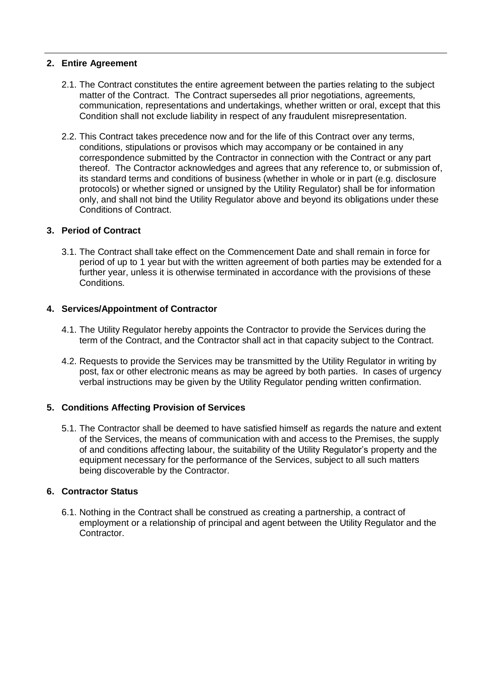#### **2. Entire Agreement**

- 2.1. The Contract constitutes the entire agreement between the parties relating to the subject matter of the Contract. The Contract supersedes all prior negotiations, agreements, communication, representations and undertakings, whether written or oral, except that this Condition shall not exclude liability in respect of any fraudulent misrepresentation.
- 2.2. This Contract takes precedence now and for the life of this Contract over any terms, conditions, stipulations or provisos which may accompany or be contained in any correspondence submitted by the Contractor in connection with the Contract or any part thereof. The Contractor acknowledges and agrees that any reference to, or submission of, its standard terms and conditions of business (whether in whole or in part (e.g. disclosure protocols) or whether signed or unsigned by the Utility Regulator) shall be for information only, and shall not bind the Utility Regulator above and beyond its obligations under these Conditions of Contract.

#### **3. Period of Contract**

3.1. The Contract shall take effect on the Commencement Date and shall remain in force for period of up to 1 year but with the written agreement of both parties may be extended for a further year, unless it is otherwise terminated in accordance with the provisions of these Conditions.

#### **4. Services/Appointment of Contractor**

- 4.1. The Utility Regulator hereby appoints the Contractor to provide the Services during the term of the Contract, and the Contractor shall act in that capacity subject to the Contract.
- 4.2. Requests to provide the Services may be transmitted by the Utility Regulator in writing by post, fax or other electronic means as may be agreed by both parties. In cases of urgency verbal instructions may be given by the Utility Regulator pending written confirmation.

#### **5. Conditions Affecting Provision of Services**

5.1. The Contractor shall be deemed to have satisfied himself as regards the nature and extent of the Services, the means of communication with and access to the Premises, the supply of and conditions affecting labour, the suitability of the Utility Regulator"s property and the equipment necessary for the performance of the Services, subject to all such matters being discoverable by the Contractor.

#### **6. Contractor Status**

6.1. Nothing in the Contract shall be construed as creating a partnership, a contract of employment or a relationship of principal and agent between the Utility Regulator and the Contractor.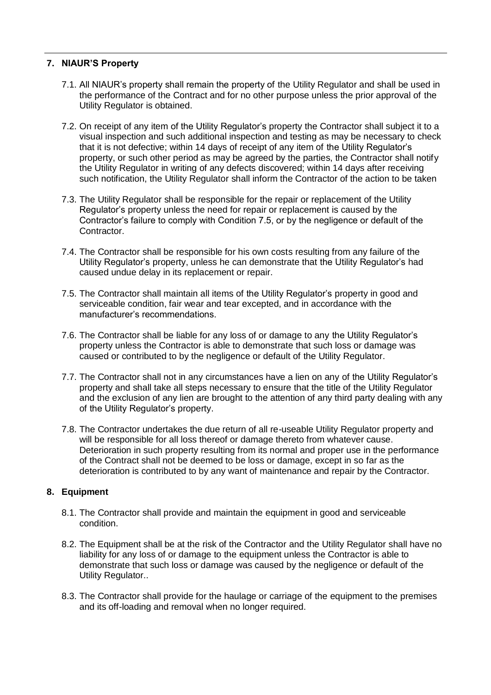#### **7. NIAUR'S Property**

- 7.1. All NIAUR"s property shall remain the property of the Utility Regulator and shall be used in the performance of the Contract and for no other purpose unless the prior approval of the Utility Regulator is obtained.
- 7.2. On receipt of any item of the Utility Regulator"s property the Contractor shall subject it to a visual inspection and such additional inspection and testing as may be necessary to check that it is not defective; within 14 days of receipt of any item of the Utility Regulator"s property, or such other period as may be agreed by the parties, the Contractor shall notify the Utility Regulator in writing of any defects discovered; within 14 days after receiving such notification, the Utility Regulator shall inform the Contractor of the action to be taken
- 7.3. The Utility Regulator shall be responsible for the repair or replacement of the Utility Regulator"s property unless the need for repair or replacement is caused by the Contractor"s failure to comply with Condition 7.5, or by the negligence or default of the Contractor.
- 7.4. The Contractor shall be responsible for his own costs resulting from any failure of the Utility Regulator"s property, unless he can demonstrate that the Utility Regulator"s had caused undue delay in its replacement or repair.
- 7.5. The Contractor shall maintain all items of the Utility Regulator"s property in good and serviceable condition, fair wear and tear excepted, and in accordance with the manufacturer"s recommendations.
- 7.6. The Contractor shall be liable for any loss of or damage to any the Utility Regulator"s property unless the Contractor is able to demonstrate that such loss or damage was caused or contributed to by the negligence or default of the Utility Regulator.
- 7.7. The Contractor shall not in any circumstances have a lien on any of the Utility Regulator"s property and shall take all steps necessary to ensure that the title of the Utility Regulator and the exclusion of any lien are brought to the attention of any third party dealing with any of the Utility Regulator"s property.
- 7.8. The Contractor undertakes the due return of all re-useable Utility Regulator property and will be responsible for all loss thereof or damage thereto from whatever cause. Deterioration in such property resulting from its normal and proper use in the performance of the Contract shall not be deemed to be loss or damage, except in so far as the deterioration is contributed to by any want of maintenance and repair by the Contractor.

#### **8. Equipment**

- 8.1. The Contractor shall provide and maintain the equipment in good and serviceable condition.
- 8.2. The Equipment shall be at the risk of the Contractor and the Utility Regulator shall have no liability for any loss of or damage to the equipment unless the Contractor is able to demonstrate that such loss or damage was caused by the negligence or default of the Utility Regulator..
- 8.3. The Contractor shall provide for the haulage or carriage of the equipment to the premises and its off-loading and removal when no longer required.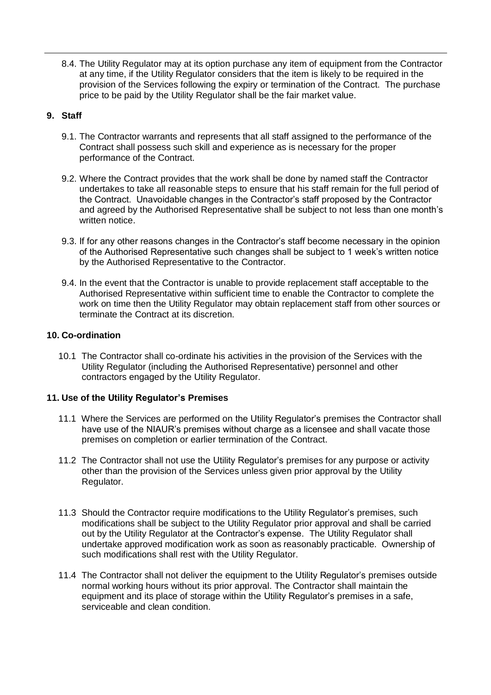8.4. The Utility Regulator may at its option purchase any item of equipment from the Contractor at any time, if the Utility Regulator considers that the item is likely to be required in the provision of the Services following the expiry or termination of the Contract. The purchase price to be paid by the Utility Regulator shall be the fair market value.

#### **9. Staff**

- 9.1. The Contractor warrants and represents that all staff assigned to the performance of the Contract shall possess such skill and experience as is necessary for the proper performance of the Contract.
- 9.2. Where the Contract provides that the work shall be done by named staff the Contractor undertakes to take all reasonable steps to ensure that his staff remain for the full period of the Contract. Unavoidable changes in the Contractor"s staff proposed by the Contractor and agreed by the Authorised Representative shall be subject to not less than one month"s written notice.
- 9.3. If for any other reasons changes in the Contractor"s staff become necessary in the opinion of the Authorised Representative such changes shall be subject to 1 week"s written notice by the Authorised Representative to the Contractor.
- 9.4. In the event that the Contractor is unable to provide replacement staff acceptable to the Authorised Representative within sufficient time to enable the Contractor to complete the work on time then the Utility Regulator may obtain replacement staff from other sources or terminate the Contract at its discretion.

#### **10. Co-ordination**

10.1 The Contractor shall co-ordinate his activities in the provision of the Services with the Utility Regulator (including the Authorised Representative) personnel and other contractors engaged by the Utility Regulator.

#### **11. Use of the Utility Regulator's Premises**

- 11.1 Where the Services are performed on the Utility Regulator"s premises the Contractor shall have use of the NIAUR"s premises without charge as a licensee and shall vacate those premises on completion or earlier termination of the Contract.
- 11.2 The Contractor shall not use the Utility Regulator"s premises for any purpose or activity other than the provision of the Services unless given prior approval by the Utility Regulator.
- 11.3 Should the Contractor require modifications to the Utility Regulator"s premises, such modifications shall be subject to the Utility Regulator prior approval and shall be carried out by the Utility Regulator at the Contractor"s expense. The Utility Regulator shall undertake approved modification work as soon as reasonably practicable. Ownership of such modifications shall rest with the Utility Regulator.
- 11.4 The Contractor shall not deliver the equipment to the Utility Regulator"s premises outside normal working hours without its prior approval. The Contractor shall maintain the equipment and its place of storage within the Utility Regulator's premises in a safe, serviceable and clean condition.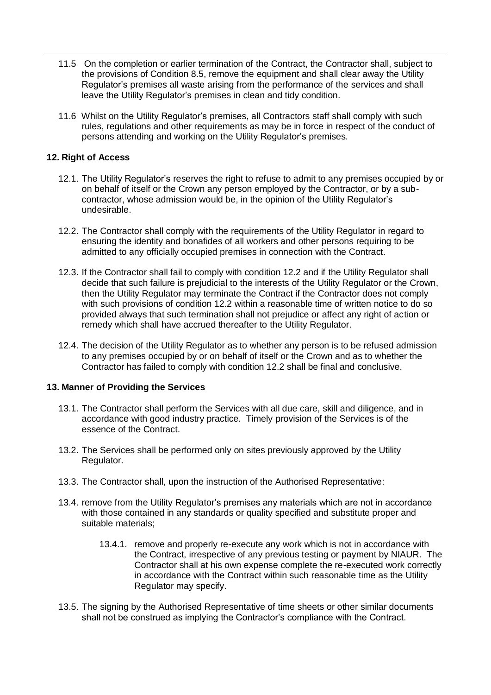- 11.5 On the completion or earlier termination of the Contract, the Contractor shall, subject to the provisions of Condition 8.5, remove the equipment and shall clear away the Utility Regulator"s premises all waste arising from the performance of the services and shall leave the Utility Regulator"s premises in clean and tidy condition.
- 11.6 Whilst on the Utility Regulator"s premises, all Contractors staff shall comply with such rules, regulations and other requirements as may be in force in respect of the conduct of persons attending and working on the Utility Regulator"s premises.

#### **12. Right of Access**

- 12.1. The Utility Regulator"s reserves the right to refuse to admit to any premises occupied by or on behalf of itself or the Crown any person employed by the Contractor, or by a subcontractor, whose admission would be, in the opinion of the Utility Regulator"s undesirable.
- 12.2. The Contractor shall comply with the requirements of the Utility Regulator in regard to ensuring the identity and bonafides of all workers and other persons requiring to be admitted to any officially occupied premises in connection with the Contract.
- 12.3. If the Contractor shall fail to comply with condition 12.2 and if the Utility Regulator shall decide that such failure is prejudicial to the interests of the Utility Regulator or the Crown, then the Utility Regulator may terminate the Contract if the Contractor does not comply with such provisions of condition 12.2 within a reasonable time of written notice to do so provided always that such termination shall not prejudice or affect any right of action or remedy which shall have accrued thereafter to the Utility Regulator.
- 12.4. The decision of the Utility Regulator as to whether any person is to be refused admission to any premises occupied by or on behalf of itself or the Crown and as to whether the Contractor has failed to comply with condition 12.2 shall be final and conclusive.

#### **13. Manner of Providing the Services**

- 13.1. The Contractor shall perform the Services with all due care, skill and diligence, and in accordance with good industry practice. Timely provision of the Services is of the essence of the Contract.
- 13.2. The Services shall be performed only on sites previously approved by the Utility Regulator.
- 13.3. The Contractor shall, upon the instruction of the Authorised Representative:
- 13.4. remove from the Utility Regulator"s premises any materials which are not in accordance with those contained in any standards or quality specified and substitute proper and suitable materials;
	- 13.4.1. remove and properly re-execute any work which is not in accordance with the Contract, irrespective of any previous testing or payment by NIAUR. The Contractor shall at his own expense complete the re-executed work correctly in accordance with the Contract within such reasonable time as the Utility Regulator may specify.
- 13.5. The signing by the Authorised Representative of time sheets or other similar documents shall not be construed as implying the Contractor's compliance with the Contract.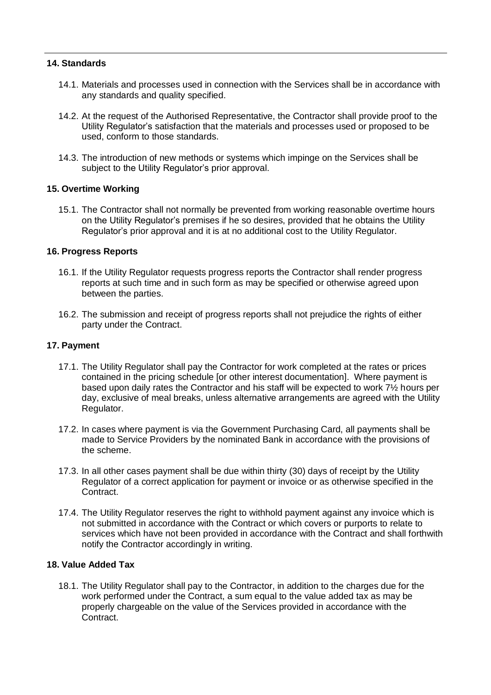#### **14. Standards**

- 14.1. Materials and processes used in connection with the Services shall be in accordance with any standards and quality specified.
- 14.2. At the request of the Authorised Representative, the Contractor shall provide proof to the Utility Regulator"s satisfaction that the materials and processes used or proposed to be used, conform to those standards.
- 14.3. The introduction of new methods or systems which impinge on the Services shall be subject to the Utility Regulator's prior approval.

#### **15. Overtime Working**

15.1. The Contractor shall not normally be prevented from working reasonable overtime hours on the Utility Regulator"s premises if he so desires, provided that he obtains the Utility Regulator"s prior approval and it is at no additional cost to the Utility Regulator.

#### **16. Progress Reports**

- 16.1. If the Utility Regulator requests progress reports the Contractor shall render progress reports at such time and in such form as may be specified or otherwise agreed upon between the parties.
- 16.2. The submission and receipt of progress reports shall not prejudice the rights of either party under the Contract.

#### **17. Payment**

- 17.1. The Utility Regulator shall pay the Contractor for work completed at the rates or prices contained in the pricing schedule [or other interest documentation]. Where payment is based upon daily rates the Contractor and his staff will be expected to work 7½ hours per day, exclusive of meal breaks, unless alternative arrangements are agreed with the Utility Regulator.
- 17.2. In cases where payment is via the Government Purchasing Card, all payments shall be made to Service Providers by the nominated Bank in accordance with the provisions of the scheme.
- 17.3. In all other cases payment shall be due within thirty (30) days of receipt by the Utility Regulator of a correct application for payment or invoice or as otherwise specified in the Contract.
- 17.4. The Utility Regulator reserves the right to withhold payment against any invoice which is not submitted in accordance with the Contract or which covers or purports to relate to services which have not been provided in accordance with the Contract and shall forthwith notify the Contractor accordingly in writing.

#### **18. Value Added Tax**

18.1. The Utility Regulator shall pay to the Contractor, in addition to the charges due for the work performed under the Contract, a sum equal to the value added tax as may be properly chargeable on the value of the Services provided in accordance with the Contract.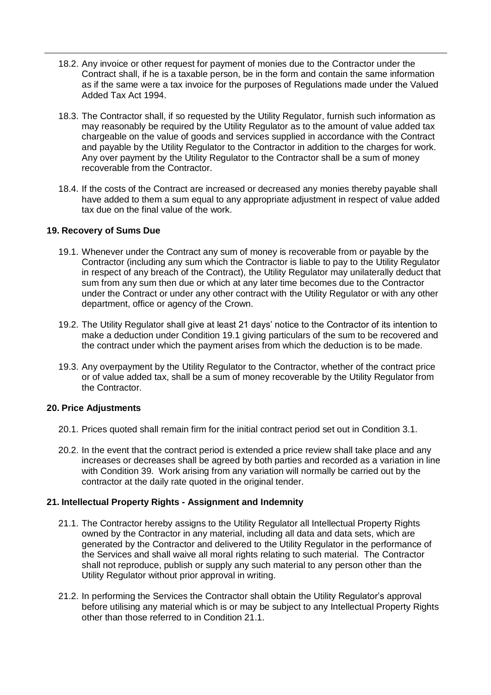- 18.2. Any invoice or other request for payment of monies due to the Contractor under the Contract shall, if he is a taxable person, be in the form and contain the same information as if the same were a tax invoice for the purposes of Regulations made under the Valued Added Tax Act 1994.
- 18.3. The Contractor shall, if so requested by the Utility Regulator, furnish such information as may reasonably be required by the Utility Regulator as to the amount of value added tax chargeable on the value of goods and services supplied in accordance with the Contract and payable by the Utility Regulator to the Contractor in addition to the charges for work. Any over payment by the Utility Regulator to the Contractor shall be a sum of money recoverable from the Contractor.
- 18.4. If the costs of the Contract are increased or decreased any monies thereby payable shall have added to them a sum equal to any appropriate adjustment in respect of value added tax due on the final value of the work.

#### **19. Recovery of Sums Due**

- 19.1. Whenever under the Contract any sum of money is recoverable from or payable by the Contractor (including any sum which the Contractor is liable to pay to the Utility Regulator in respect of any breach of the Contract), the Utility Regulator may unilaterally deduct that sum from any sum then due or which at any later time becomes due to the Contractor under the Contract or under any other contract with the Utility Regulator or with any other department, office or agency of the Crown.
- 19.2. The Utility Regulator shall give at least 21 days" notice to the Contractor of its intention to make a deduction under Condition 19.1 giving particulars of the sum to be recovered and the contract under which the payment arises from which the deduction is to be made.
- 19.3. Any overpayment by the Utility Regulator to the Contractor, whether of the contract price or of value added tax, shall be a sum of money recoverable by the Utility Regulator from the Contractor.

#### **20. Price Adjustments**

- 20.1. Prices quoted shall remain firm for the initial contract period set out in Condition 3.1.
- 20.2. In the event that the contract period is extended a price review shall take place and any increases or decreases shall be agreed by both parties and recorded as a variation in line with Condition 39. Work arising from any variation will normally be carried out by the contractor at the daily rate quoted in the original tender.

#### **21. Intellectual Property Rights - Assignment and Indemnity**

- 21.1. The Contractor hereby assigns to the Utility Regulator all Intellectual Property Rights owned by the Contractor in any material, including all data and data sets, which are generated by the Contractor and delivered to the Utility Regulator in the performance of the Services and shall waive all moral rights relating to such material. The Contractor shall not reproduce, publish or supply any such material to any person other than the Utility Regulator without prior approval in writing.
- 21.2. In performing the Services the Contractor shall obtain the Utility Regulator"s approval before utilising any material which is or may be subject to any Intellectual Property Rights other than those referred to in Condition 21.1.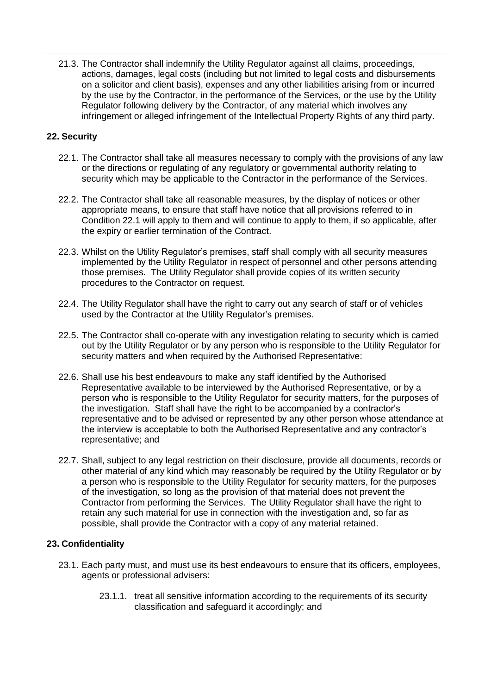21.3. The Contractor shall indemnify the Utility Regulator against all claims, proceedings, actions, damages, legal costs (including but not limited to legal costs and disbursements on a solicitor and client basis), expenses and any other liabilities arising from or incurred by the use by the Contractor, in the performance of the Services, or the use by the Utility Regulator following delivery by the Contractor, of any material which involves any infringement or alleged infringement of the Intellectual Property Rights of any third party.

#### **22. Security**

- 22.1. The Contractor shall take all measures necessary to comply with the provisions of any law or the directions or regulating of any regulatory or governmental authority relating to security which may be applicable to the Contractor in the performance of the Services.
- 22.2. The Contractor shall take all reasonable measures, by the display of notices or other appropriate means, to ensure that staff have notice that all provisions referred to in Condition 22.1 will apply to them and will continue to apply to them, if so applicable, after the expiry or earlier termination of the Contract.
- 22.3. Whilst on the Utility Regulator"s premises, staff shall comply with all security measures implemented by the Utility Regulator in respect of personnel and other persons attending those premises. The Utility Regulator shall provide copies of its written security procedures to the Contractor on request.
- 22.4. The Utility Regulator shall have the right to carry out any search of staff or of vehicles used by the Contractor at the Utility Regulator"s premises.
- 22.5. The Contractor shall co-operate with any investigation relating to security which is carried out by the Utility Regulator or by any person who is responsible to the Utility Regulator for security matters and when required by the Authorised Representative:
- 22.6. Shall use his best endeavours to make any staff identified by the Authorised Representative available to be interviewed by the Authorised Representative, or by a person who is responsible to the Utility Regulator for security matters, for the purposes of the investigation. Staff shall have the right to be accompanied by a contractor"s representative and to be advised or represented by any other person whose attendance at the interview is acceptable to both the Authorised Representative and any contractor"s representative; and
- 22.7. Shall, subject to any legal restriction on their disclosure, provide all documents, records or other material of any kind which may reasonably be required by the Utility Regulator or by a person who is responsible to the Utility Regulator for security matters, for the purposes of the investigation, so long as the provision of that material does not prevent the Contractor from performing the Services. The Utility Regulator shall have the right to retain any such material for use in connection with the investigation and, so far as possible, shall provide the Contractor with a copy of any material retained.

#### **23. Confidentiality**

- 23.1. Each party must, and must use its best endeavours to ensure that its officers, employees, agents or professional advisers:
	- 23.1.1. treat all sensitive information according to the requirements of its security classification and safeguard it accordingly; and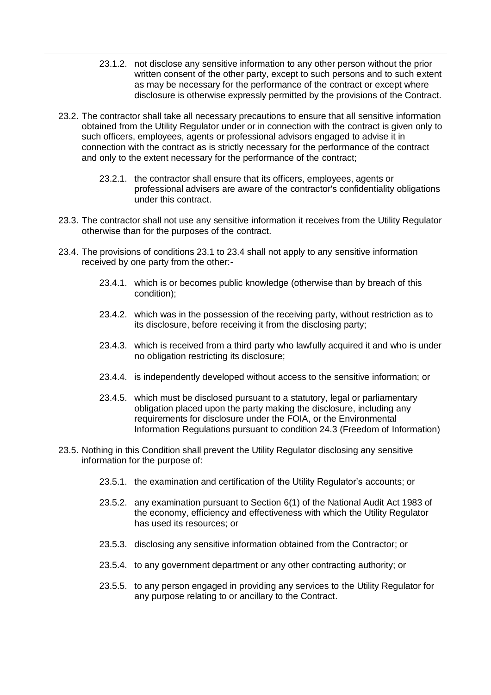- 23.1.2. not disclose any sensitive information to any other person without the prior written consent of the other party, except to such persons and to such extent as may be necessary for the performance of the contract or except where disclosure is otherwise expressly permitted by the provisions of the Contract.
- 23.2. The contractor shall take all necessary precautions to ensure that all sensitive information obtained from the Utility Regulator under or in connection with the contract is given only to such officers, employees, agents or professional advisors engaged to advise it in connection with the contract as is strictly necessary for the performance of the contract and only to the extent necessary for the performance of the contract;
	- 23.2.1. the contractor shall ensure that its officers, employees, agents or professional advisers are aware of the contractor's confidentiality obligations under this contract.
- 23.3. The contractor shall not use any sensitive information it receives from the Utility Regulator otherwise than for the purposes of the contract.
- 23.4. The provisions of conditions 23.1 to 23.4 shall not apply to any sensitive information received by one party from the other:-
	- 23.4.1. which is or becomes public knowledge (otherwise than by breach of this condition);
	- 23.4.2. which was in the possession of the receiving party, without restriction as to its disclosure, before receiving it from the disclosing party;
	- 23.4.3. which is received from a third party who lawfully acquired it and who is under no obligation restricting its disclosure;
	- 23.4.4. is independently developed without access to the sensitive information; or
	- 23.4.5. which must be disclosed pursuant to a statutory, legal or parliamentary obligation placed upon the party making the disclosure, including any requirements for disclosure under the FOIA, or the Environmental Information Regulations pursuant to condition 24.3 (Freedom of Information)
- 23.5. Nothing in this Condition shall prevent the Utility Regulator disclosing any sensitive information for the purpose of:
	- 23.5.1. the examination and certification of the Utility Regulator"s accounts; or
	- 23.5.2. any examination pursuant to Section 6(1) of the National Audit Act 1983 of the economy, efficiency and effectiveness with which the Utility Regulator has used its resources; or
	- 23.5.3. disclosing any sensitive information obtained from the Contractor; or
	- 23.5.4. to any government department or any other contracting authority; or
	- 23.5.5. to any person engaged in providing any services to the Utility Regulator for any purpose relating to or ancillary to the Contract.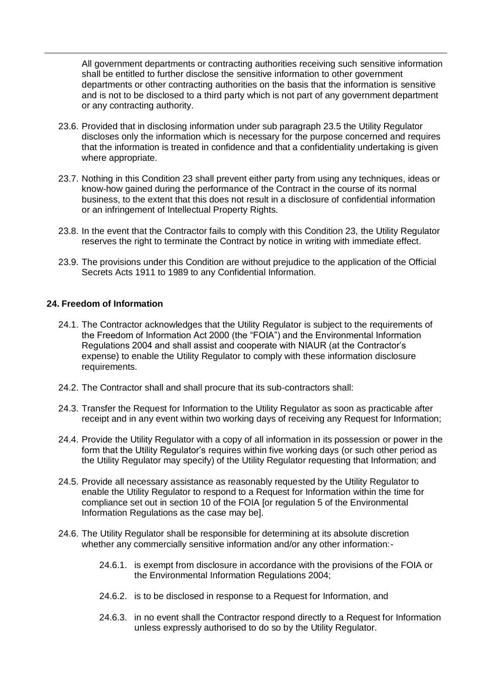All government departments or contracting authorities receiving such sensitive information shall be entitled to further disclose the sensitive information to other government departments or other contracting authorities on the basis that the information is sensitive and is not to be disclosed to a third party which is not part of any government department or any contracting authority.

- 23.6. Provided that in disclosing information under sub paragraph 23.5 the Utility Regulator discloses only the information which is necessary for the purpose concerned and requires that the information is treated in confidence and that a confidentiality undertaking is given where appropriate.
- 23.7. Nothing in this Condition 23 shall prevent either party from using any techniques, ideas or know-how gained during the performance of the Contract in the course of its normal business, to the extent that this does not result in a disclosure of confidential information or an infringement of Intellectual Property Rights.
- 23.8. In the event that the Contractor fails to comply with this Condition 23, the Utility Regulator reserves the right to terminate the Contract by notice in writing with immediate effect.
- 23.9. The provisions under this Condition are without prejudice to the application of the Official Secrets Acts 1911 to 1989 to any Confidential Information.

#### **24. Freedom of Information**

- 24.1. The Contractor acknowledges that the Utility Regulator is subject to the requirements of the Freedom of Information Act 2000 (the "FOIA") and the Environmental Information Regulations 2004 and shall assist and cooperate with NIAUR (at the Contractor"s expense) to enable the Utility Regulator to comply with these information disclosure requirements.
- 24.2. The Contractor shall and shall procure that its sub-contractors shall:
- 24.3. Transfer the Request for Information to the Utility Regulator as soon as practicable after receipt and in any event within two working days of receiving any Request for Information;
- 24.4. Provide the Utility Regulator with a copy of all information in its possession or power in the form that the Utility Regulator"s requires within five working days (or such other period as the Utility Regulator may specify) of the Utility Regulator requesting that Information; and
- 24.5. Provide all necessary assistance as reasonably requested by the Utility Regulator to enable the Utility Regulator to respond to a Request for Information within the time for compliance set out in section 10 of the FOIA [or regulation 5 of the Environmental Information Regulations as the case may be].
- 24.6. The Utility Regulator shall be responsible for determining at its absolute discretion whether any commercially sensitive information and/or any other information:-
	- 24.6.1. is exempt from disclosure in accordance with the provisions of the FOIA or the Environmental Information Regulations 2004;
	- 24.6.2. is to be disclosed in response to a Request for Information, and
	- 24.6.3. in no event shall the Contractor respond directly to a Request for Information unless expressly authorised to do so by the Utility Regulator.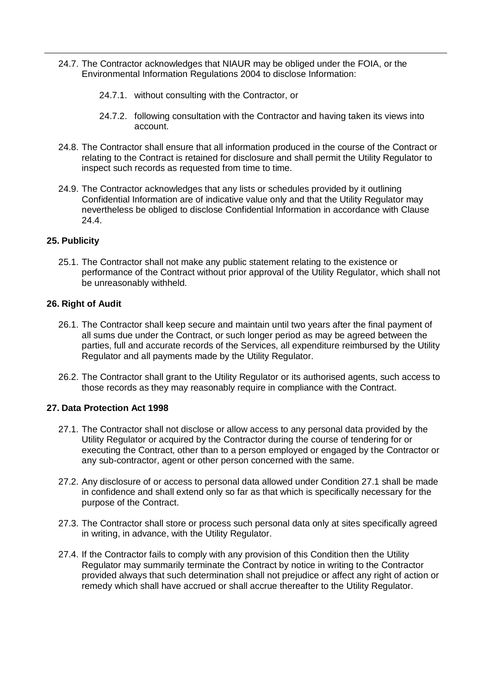- 24.7. The Contractor acknowledges that NIAUR may be obliged under the FOIA, or the Environmental Information Regulations 2004 to disclose Information:
	- 24.7.1. without consulting with the Contractor, or
	- 24.7.2. following consultation with the Contractor and having taken its views into account.
- 24.8. The Contractor shall ensure that all information produced in the course of the Contract or relating to the Contract is retained for disclosure and shall permit the Utility Regulator to inspect such records as requested from time to time.
- 24.9. The Contractor acknowledges that any lists or schedules provided by it outlining Confidential Information are of indicative value only and that the Utility Regulator may nevertheless be obliged to disclose Confidential Information in accordance with Clause 24.4.

#### **25. Publicity**

25.1. The Contractor shall not make any public statement relating to the existence or performance of the Contract without prior approval of the Utility Regulator, which shall not be unreasonably withheld.

#### **26. Right of Audit**

- 26.1. The Contractor shall keep secure and maintain until two years after the final payment of all sums due under the Contract, or such longer period as may be agreed between the parties, full and accurate records of the Services, all expenditure reimbursed by the Utility Regulator and all payments made by the Utility Regulator.
- 26.2. The Contractor shall grant to the Utility Regulator or its authorised agents, such access to those records as they may reasonably require in compliance with the Contract.

#### **27. Data Protection Act 1998**

- 27.1. The Contractor shall not disclose or allow access to any personal data provided by the Utility Regulator or acquired by the Contractor during the course of tendering for or executing the Contract, other than to a person employed or engaged by the Contractor or any sub-contractor, agent or other person concerned with the same.
- 27.2. Any disclosure of or access to personal data allowed under Condition 27.1 shall be made in confidence and shall extend only so far as that which is specifically necessary for the purpose of the Contract.
- 27.3. The Contractor shall store or process such personal data only at sites specifically agreed in writing, in advance, with the Utility Regulator.
- 27.4. If the Contractor fails to comply with any provision of this Condition then the Utility Regulator may summarily terminate the Contract by notice in writing to the Contractor provided always that such determination shall not prejudice or affect any right of action or remedy which shall have accrued or shall accrue thereafter to the Utility Regulator.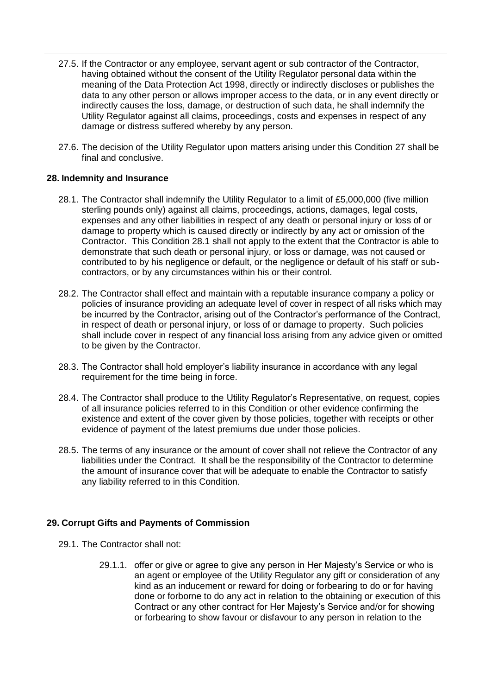- 27.5. If the Contractor or any employee, servant agent or sub contractor of the Contractor, having obtained without the consent of the Utility Regulator personal data within the meaning of the Data Protection Act 1998, directly or indirectly discloses or publishes the data to any other person or allows improper access to the data, or in any event directly or indirectly causes the loss, damage, or destruction of such data, he shall indemnify the Utility Regulator against all claims, proceedings, costs and expenses in respect of any damage or distress suffered whereby by any person.
- 27.6. The decision of the Utility Regulator upon matters arising under this Condition 27 shall be final and conclusive.

#### **28. Indemnity and Insurance**

- 28.1. The Contractor shall indemnify the Utility Regulator to a limit of £5,000,000 (five million sterling pounds only) against all claims, proceedings, actions, damages, legal costs, expenses and any other liabilities in respect of any death or personal injury or loss of or damage to property which is caused directly or indirectly by any act or omission of the Contractor. This Condition 28.1 shall not apply to the extent that the Contractor is able to demonstrate that such death or personal injury, or loss or damage, was not caused or contributed to by his negligence or default, or the negligence or default of his staff or subcontractors, or by any circumstances within his or their control.
- 28.2. The Contractor shall effect and maintain with a reputable insurance company a policy or policies of insurance providing an adequate level of cover in respect of all risks which may be incurred by the Contractor, arising out of the Contractor's performance of the Contract, in respect of death or personal injury, or loss of or damage to property. Such policies shall include cover in respect of any financial loss arising from any advice given or omitted to be given by the Contractor.
- 28.3. The Contractor shall hold employer"s liability insurance in accordance with any legal requirement for the time being in force.
- 28.4. The Contractor shall produce to the Utility Regulator's Representative, on request, copies of all insurance policies referred to in this Condition or other evidence confirming the existence and extent of the cover given by those policies, together with receipts or other evidence of payment of the latest premiums due under those policies.
- 28.5. The terms of any insurance or the amount of cover shall not relieve the Contractor of any liabilities under the Contract. It shall be the responsibility of the Contractor to determine the amount of insurance cover that will be adequate to enable the Contractor to satisfy any liability referred to in this Condition.

#### **29. Corrupt Gifts and Payments of Commission**

- 29.1. The Contractor shall not:
	- 29.1.1. offer or give or agree to give any person in Her Majesty"s Service or who is an agent or employee of the Utility Regulator any gift or consideration of any kind as an inducement or reward for doing or forbearing to do or for having done or forborne to do any act in relation to the obtaining or execution of this Contract or any other contract for Her Majesty"s Service and/or for showing or forbearing to show favour or disfavour to any person in relation to the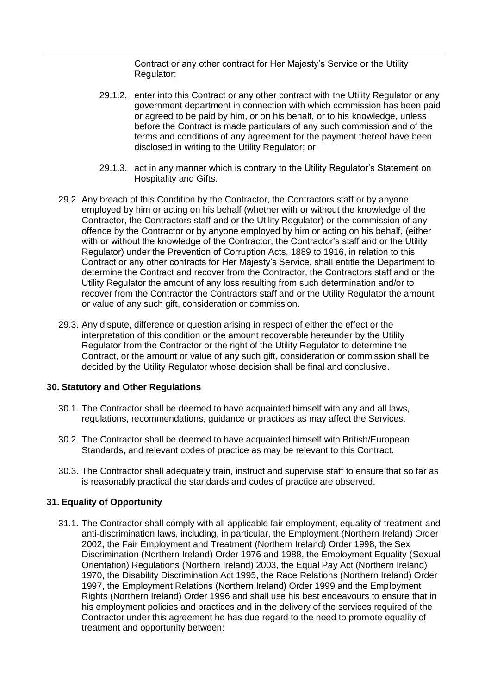Contract or any other contract for Her Majesty"s Service or the Utility Regulator;

- 29.1.2. enter into this Contract or any other contract with the Utility Regulator or any government department in connection with which commission has been paid or agreed to be paid by him, or on his behalf, or to his knowledge, unless before the Contract is made particulars of any such commission and of the terms and conditions of any agreement for the payment thereof have been disclosed in writing to the Utility Regulator; or
- 29.1.3. act in any manner which is contrary to the Utility Regulator"s Statement on Hospitality and Gifts.
- 29.2. Any breach of this Condition by the Contractor, the Contractors staff or by anyone employed by him or acting on his behalf (whether with or without the knowledge of the Contractor, the Contractors staff and or the Utility Regulator) or the commission of any offence by the Contractor or by anyone employed by him or acting on his behalf, (either with or without the knowledge of the Contractor, the Contractor's staff and or the Utility Regulator) under the Prevention of Corruption Acts, 1889 to 1916, in relation to this Contract or any other contracts for Her Majesty"s Service, shall entitle the Department to determine the Contract and recover from the Contractor, the Contractors staff and or the Utility Regulator the amount of any loss resulting from such determination and/or to recover from the Contractor the Contractors staff and or the Utility Regulator the amount or value of any such gift, consideration or commission.
- 29.3. Any dispute, difference or question arising in respect of either the effect or the interpretation of this condition or the amount recoverable hereunder by the Utility Regulator from the Contractor or the right of the Utility Regulator to determine the Contract, or the amount or value of any such gift, consideration or commission shall be decided by the Utility Regulator whose decision shall be final and conclusive.

#### **30. Statutory and Other Regulations**

- 30.1. The Contractor shall be deemed to have acquainted himself with any and all laws, regulations, recommendations, guidance or practices as may affect the Services.
- 30.2. The Contractor shall be deemed to have acquainted himself with British/European Standards, and relevant codes of practice as may be relevant to this Contract.
- 30.3. The Contractor shall adequately train, instruct and supervise staff to ensure that so far as is reasonably practical the standards and codes of practice are observed.

#### **31. Equality of Opportunity**

31.1. The Contractor shall comply with all applicable fair employment, equality of treatment and anti-discrimination laws, including, in particular, the Employment (Northern Ireland) Order 2002, the Fair Employment and Treatment (Northern Ireland) Order 1998, the Sex Discrimination (Northern Ireland) Order 1976 and 1988, the Employment Equality (Sexual Orientation) Regulations (Northern Ireland) 2003, the Equal Pay Act (Northern Ireland) 1970, the Disability Discrimination Act 1995, the Race Relations (Northern Ireland) Order 1997, the Employment Relations (Northern Ireland) Order 1999 and the Employment Rights (Northern Ireland) Order 1996 and shall use his best endeavours to ensure that in his employment policies and practices and in the delivery of the services required of the Contractor under this agreement he has due regard to the need to promote equality of treatment and opportunity between: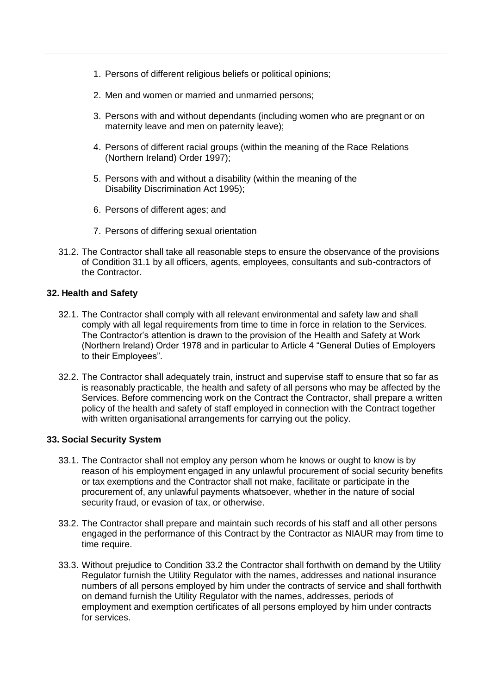- 1. Persons of different religious beliefs or political opinions;
- 2. Men and women or married and unmarried persons;
- 3. Persons with and without dependants (including women who are pregnant or on maternity leave and men on paternity leave);
- 4. Persons of different racial groups (within the meaning of the Race Relations (Northern Ireland) Order 1997);
- 5. Persons with and without a disability (within the meaning of the Disability Discrimination Act 1995);
- 6. Persons of different ages; and
- 7. Persons of differing sexual orientation
- 31.2. The Contractor shall take all reasonable steps to ensure the observance of the provisions of Condition 31.1 by all officers, agents, employees, consultants and sub-contractors of the Contractor.

#### **32. Health and Safety**

- 32.1. The Contractor shall comply with all relevant environmental and safety law and shall comply with all legal requirements from time to time in force in relation to the Services. The Contractor"s attention is drawn to the provision of the Health and Safety at Work (Northern Ireland) Order 1978 and in particular to Article 4 "General Duties of Employers to their Employees".
- 32.2. The Contractor shall adequately train, instruct and supervise staff to ensure that so far as is reasonably practicable, the health and safety of all persons who may be affected by the Services. Before commencing work on the Contract the Contractor, shall prepare a written policy of the health and safety of staff employed in connection with the Contract together with written organisational arrangements for carrying out the policy.

#### **33. Social Security System**

- 33.1. The Contractor shall not employ any person whom he knows or ought to know is by reason of his employment engaged in any unlawful procurement of social security benefits or tax exemptions and the Contractor shall not make, facilitate or participate in the procurement of, any unlawful payments whatsoever, whether in the nature of social security fraud, or evasion of tax, or otherwise.
- 33.2. The Contractor shall prepare and maintain such records of his staff and all other persons engaged in the performance of this Contract by the Contractor as NIAUR may from time to time require.
- 33.3. Without prejudice to Condition 33.2 the Contractor shall forthwith on demand by the Utility Regulator furnish the Utility Regulator with the names, addresses and national insurance numbers of all persons employed by him under the contracts of service and shall forthwith on demand furnish the Utility Regulator with the names, addresses, periods of employment and exemption certificates of all persons employed by him under contracts for services.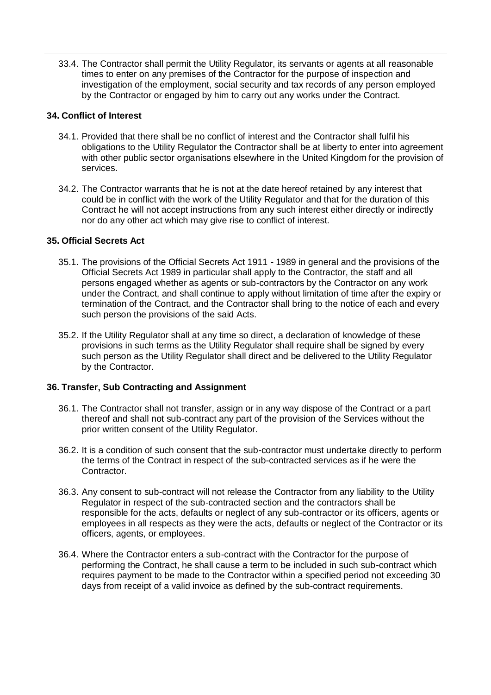33.4. The Contractor shall permit the Utility Regulator, its servants or agents at all reasonable times to enter on any premises of the Contractor for the purpose of inspection and investigation of the employment, social security and tax records of any person employed by the Contractor or engaged by him to carry out any works under the Contract.

#### **34. Conflict of Interest**

- 34.1. Provided that there shall be no conflict of interest and the Contractor shall fulfil his obligations to the Utility Regulator the Contractor shall be at liberty to enter into agreement with other public sector organisations elsewhere in the United Kingdom for the provision of services.
- 34.2. The Contractor warrants that he is not at the date hereof retained by any interest that could be in conflict with the work of the Utility Regulator and that for the duration of this Contract he will not accept instructions from any such interest either directly or indirectly nor do any other act which may give rise to conflict of interest.

#### **35. Official Secrets Act**

- 35.1. The provisions of the Official Secrets Act 1911 1989 in general and the provisions of the Official Secrets Act 1989 in particular shall apply to the Contractor, the staff and all persons engaged whether as agents or sub-contractors by the Contractor on any work under the Contract, and shall continue to apply without limitation of time after the expiry or termination of the Contract, and the Contractor shall bring to the notice of each and every such person the provisions of the said Acts.
- 35.2. If the Utility Regulator shall at any time so direct, a declaration of knowledge of these provisions in such terms as the Utility Regulator shall require shall be signed by every such person as the Utility Regulator shall direct and be delivered to the Utility Regulator by the Contractor.

#### **36. Transfer, Sub Contracting and Assignment**

- 36.1. The Contractor shall not transfer, assign or in any way dispose of the Contract or a part thereof and shall not sub-contract any part of the provision of the Services without the prior written consent of the Utility Regulator.
- 36.2. It is a condition of such consent that the sub-contractor must undertake directly to perform the terms of the Contract in respect of the sub-contracted services as if he were the Contractor.
- 36.3. Any consent to sub-contract will not release the Contractor from any liability to the Utility Regulator in respect of the sub-contracted section and the contractors shall be responsible for the acts, defaults or neglect of any sub-contractor or its officers, agents or employees in all respects as they were the acts, defaults or neglect of the Contractor or its officers, agents, or employees.
- 36.4. Where the Contractor enters a sub-contract with the Contractor for the purpose of performing the Contract, he shall cause a term to be included in such sub-contract which requires payment to be made to the Contractor within a specified period not exceeding 30 days from receipt of a valid invoice as defined by the sub-contract requirements.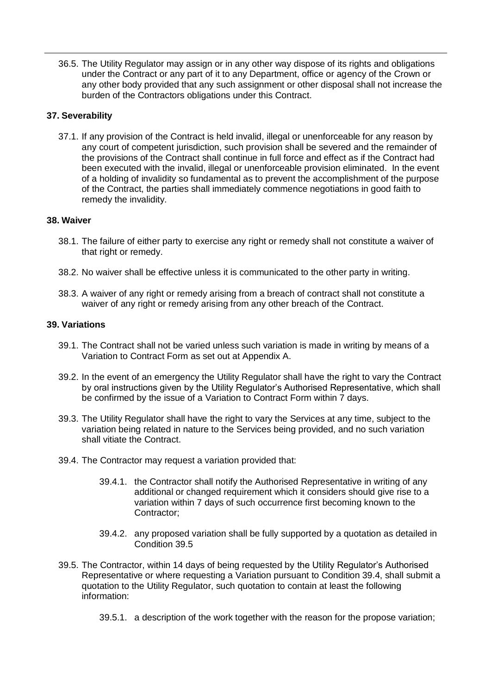36.5. The Utility Regulator may assign or in any other way dispose of its rights and obligations under the Contract or any part of it to any Department, office or agency of the Crown or any other body provided that any such assignment or other disposal shall not increase the burden of the Contractors obligations under this Contract.

#### **37. Severability**

37.1. If any provision of the Contract is held invalid, illegal or unenforceable for any reason by any court of competent jurisdiction, such provision shall be severed and the remainder of the provisions of the Contract shall continue in full force and effect as if the Contract had been executed with the invalid, illegal or unenforceable provision eliminated. In the event of a holding of invalidity so fundamental as to prevent the accomplishment of the purpose of the Contract, the parties shall immediately commence negotiations in good faith to remedy the invalidity.

#### **38. Waiver**

- 38.1. The failure of either party to exercise any right or remedy shall not constitute a waiver of that right or remedy.
- 38.2. No waiver shall be effective unless it is communicated to the other party in writing.
- 38.3. A waiver of any right or remedy arising from a breach of contract shall not constitute a waiver of any right or remedy arising from any other breach of the Contract.

#### **39. Variations**

- 39.1. The Contract shall not be varied unless such variation is made in writing by means of a Variation to Contract Form as set out at Appendix A.
- 39.2. In the event of an emergency the Utility Regulator shall have the right to vary the Contract by oral instructions given by the Utility Regulator"s Authorised Representative, which shall be confirmed by the issue of a Variation to Contract Form within 7 days.
- 39.3. The Utility Regulator shall have the right to vary the Services at any time, subject to the variation being related in nature to the Services being provided, and no such variation shall vitiate the Contract.
- 39.4. The Contractor may request a variation provided that:
	- 39.4.1. the Contractor shall notify the Authorised Representative in writing of any additional or changed requirement which it considers should give rise to a variation within 7 days of such occurrence first becoming known to the Contractor;
	- 39.4.2. any proposed variation shall be fully supported by a quotation as detailed in Condition 39.5
- 39.5. The Contractor, within 14 days of being requested by the Utility Regulator"s Authorised Representative or where requesting a Variation pursuant to Condition 39.4, shall submit a quotation to the Utility Regulator, such quotation to contain at least the following information:
	- 39.5.1. a description of the work together with the reason for the propose variation;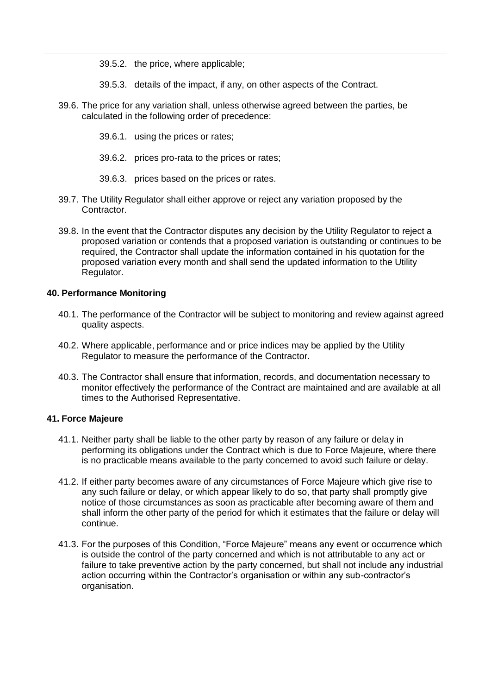- 39.5.2. the price, where applicable;
- 39.5.3. details of the impact, if any, on other aspects of the Contract.
- 39.6. The price for any variation shall, unless otherwise agreed between the parties, be calculated in the following order of precedence:
	- 39.6.1. using the prices or rates;
	- 39.6.2. prices pro-rata to the prices or rates;
	- 39.6.3. prices based on the prices or rates.
- 39.7. The Utility Regulator shall either approve or reject any variation proposed by the Contractor.
- 39.8. In the event that the Contractor disputes any decision by the Utility Regulator to reject a proposed variation or contends that a proposed variation is outstanding or continues to be required, the Contractor shall update the information contained in his quotation for the proposed variation every month and shall send the updated information to the Utility Regulator.

#### **40. Performance Monitoring**

- 40.1. The performance of the Contractor will be subject to monitoring and review against agreed quality aspects.
- 40.2. Where applicable, performance and or price indices may be applied by the Utility Regulator to measure the performance of the Contractor.
- 40.3. The Contractor shall ensure that information, records, and documentation necessary to monitor effectively the performance of the Contract are maintained and are available at all times to the Authorised Representative.

#### **41. Force Majeure**

- 41.1. Neither party shall be liable to the other party by reason of any failure or delay in performing its obligations under the Contract which is due to Force Majeure, where there is no practicable means available to the party concerned to avoid such failure or delay.
- 41.2. If either party becomes aware of any circumstances of Force Majeure which give rise to any such failure or delay, or which appear likely to do so, that party shall promptly give notice of those circumstances as soon as practicable after becoming aware of them and shall inform the other party of the period for which it estimates that the failure or delay will continue.
- 41.3. For the purposes of this Condition, "Force Majeure" means any event or occurrence which is outside the control of the party concerned and which is not attributable to any act or failure to take preventive action by the party concerned, but shall not include any industrial action occurring within the Contractor"s organisation or within any sub-contractor"s organisation.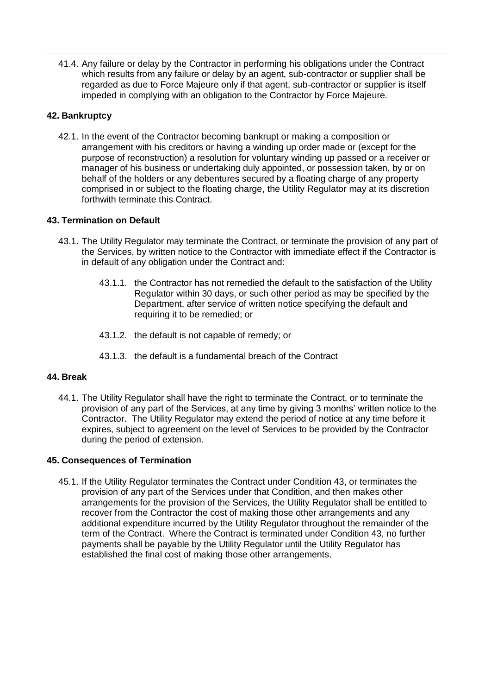41.4. Any failure or delay by the Contractor in performing his obligations under the Contract which results from any failure or delay by an agent, sub-contractor or supplier shall be regarded as due to Force Majeure only if that agent, sub-contractor or supplier is itself impeded in complying with an obligation to the Contractor by Force Majeure.

#### **42. Bankruptcy**

42.1. In the event of the Contractor becoming bankrupt or making a composition or arrangement with his creditors or having a winding up order made or (except for the purpose of reconstruction) a resolution for voluntary winding up passed or a receiver or manager of his business or undertaking duly appointed, or possession taken, by or on behalf of the holders or any debentures secured by a floating charge of any property comprised in or subject to the floating charge, the Utility Regulator may at its discretion forthwith terminate this Contract.

#### **43. Termination on Default**

- 43.1. The Utility Regulator may terminate the Contract, or terminate the provision of any part of the Services, by written notice to the Contractor with immediate effect if the Contractor is in default of any obligation under the Contract and:
	- 43.1.1. the Contractor has not remedied the default to the satisfaction of the Utility Regulator within 30 days, or such other period as may be specified by the Department, after service of written notice specifying the default and requiring it to be remedied; or
	- 43.1.2. the default is not capable of remedy; or
	- 43.1.3. the default is a fundamental breach of the Contract

#### **44. Break**

44.1. The Utility Regulator shall have the right to terminate the Contract, or to terminate the provision of any part of the Services, at any time by giving 3 months" written notice to the Contractor. The Utility Regulator may extend the period of notice at any time before it expires, subject to agreement on the level of Services to be provided by the Contractor during the period of extension.

#### **45. Consequences of Termination**

45.1. If the Utility Regulator terminates the Contract under Condition 43, or terminates the provision of any part of the Services under that Condition, and then makes other arrangements for the provision of the Services, the Utility Regulator shall be entitled to recover from the Contractor the cost of making those other arrangements and any additional expenditure incurred by the Utility Regulator throughout the remainder of the term of the Contract. Where the Contract is terminated under Condition 43, no further payments shall be payable by the Utility Regulator until the Utility Regulator has established the final cost of making those other arrangements.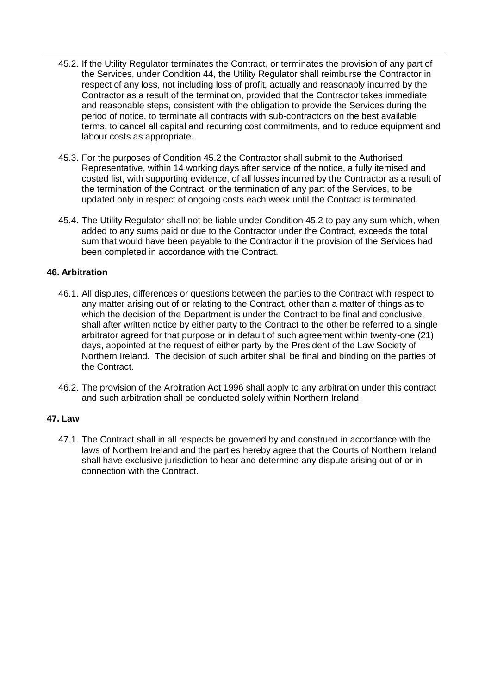- 45.2. If the Utility Regulator terminates the Contract, or terminates the provision of any part of the Services, under Condition 44, the Utility Regulator shall reimburse the Contractor in respect of any loss, not including loss of profit, actually and reasonably incurred by the Contractor as a result of the termination, provided that the Contractor takes immediate and reasonable steps, consistent with the obligation to provide the Services during the period of notice, to terminate all contracts with sub-contractors on the best available terms, to cancel all capital and recurring cost commitments, and to reduce equipment and labour costs as appropriate.
- 45.3. For the purposes of Condition 45.2 the Contractor shall submit to the Authorised Representative, within 14 working days after service of the notice, a fully itemised and costed list, with supporting evidence, of all losses incurred by the Contractor as a result of the termination of the Contract, or the termination of any part of the Services, to be updated only in respect of ongoing costs each week until the Contract is terminated.
- 45.4. The Utility Regulator shall not be liable under Condition 45.2 to pay any sum which, when added to any sums paid or due to the Contractor under the Contract, exceeds the total sum that would have been payable to the Contractor if the provision of the Services had been completed in accordance with the Contract.

#### **46. Arbitration**

- 46.1. All disputes, differences or questions between the parties to the Contract with respect to any matter arising out of or relating to the Contract, other than a matter of things as to which the decision of the Department is under the Contract to be final and conclusive, shall after written notice by either party to the Contract to the other be referred to a single arbitrator agreed for that purpose or in default of such agreement within twenty-one (21) days, appointed at the request of either party by the President of the Law Society of Northern Ireland. The decision of such arbiter shall be final and binding on the parties of the Contract.
- 46.2. The provision of the Arbitration Act 1996 shall apply to any arbitration under this contract and such arbitration shall be conducted solely within Northern Ireland.

#### **47. Law**

47.1. The Contract shall in all respects be governed by and construed in accordance with the laws of Northern Ireland and the parties hereby agree that the Courts of Northern Ireland shall have exclusive jurisdiction to hear and determine any dispute arising out of or in connection with the Contract.